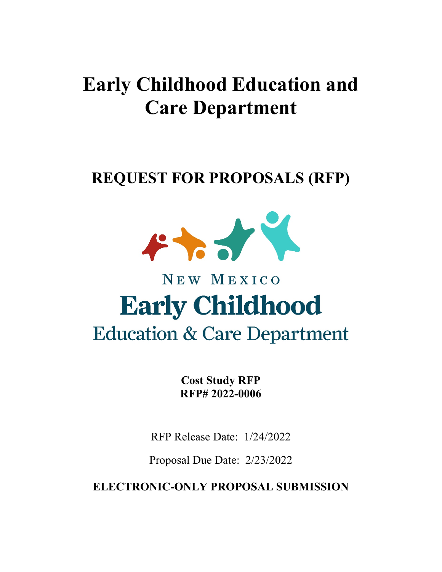# **Early Childhood Education and Care Department**

# **REQUEST FOR PROPOSALS (RFP)**



# NEW MEXICO **Early Childhood Education & Care Department**

**Cost Study RFP RFP# 2022-0006**

RFP Release Date: 1/24/2022

Proposal Due Date: 2/23/2022

**ELECTRONIC-ONLY PROPOSAL SUBMISSION**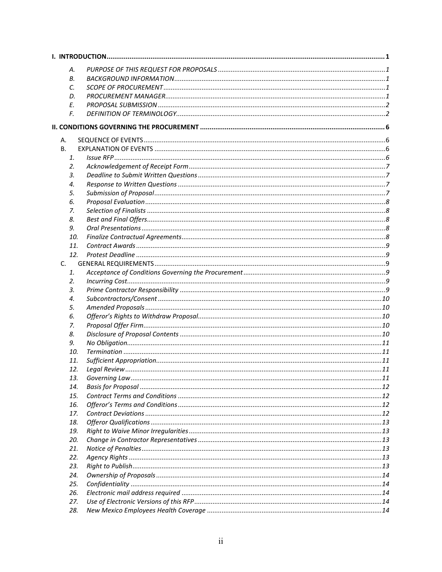| А.  |  |
|-----|--|
| В.  |  |
| C.  |  |
| D.  |  |
| Е.  |  |
| F.  |  |
|     |  |
|     |  |
| Α.  |  |
| В.  |  |
| 1.  |  |
| 2.  |  |
| 3.  |  |
| 4.  |  |
| 5.  |  |
| 6.  |  |
| 7.  |  |
| 8.  |  |
| 9.  |  |
| 10. |  |
| 11. |  |
| 12. |  |
| C.  |  |
| 1.  |  |
| 2.  |  |
| 3.  |  |
| 4.  |  |
| 5.  |  |
| 6.  |  |
| 7.  |  |
| 8.  |  |
| 9.  |  |
| 10. |  |
| 11. |  |
| 12. |  |
| 13. |  |
| 14. |  |
| 15. |  |
| 16. |  |
| 17. |  |
| 18. |  |
| 19. |  |
| 20. |  |
| 21. |  |
| 22. |  |
| 23. |  |
| 24. |  |
| 25. |  |
| 26. |  |
| 27. |  |
| 28. |  |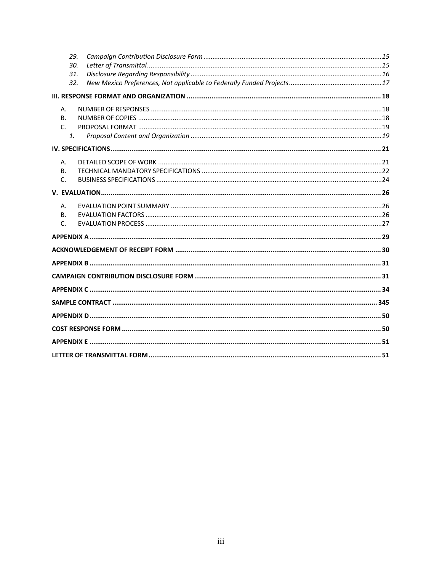|              | 29.            |  |
|--------------|----------------|--|
|              | 30.            |  |
|              | 31.            |  |
|              | 32.            |  |
|              |                |  |
| А.           |                |  |
| <b>B.</b>    |                |  |
| $\mathsf{C}$ |                |  |
|              | $\mathbf{1}$ . |  |
|              |                |  |
| Α.           |                |  |
| В.           |                |  |
| C.           |                |  |
|              |                |  |
| А.           |                |  |
| <b>B.</b>    |                |  |
| C.           |                |  |
|              |                |  |
|              |                |  |
|              |                |  |
|              |                |  |
|              |                |  |
|              |                |  |
|              |                |  |
|              |                |  |
|              |                |  |
|              |                |  |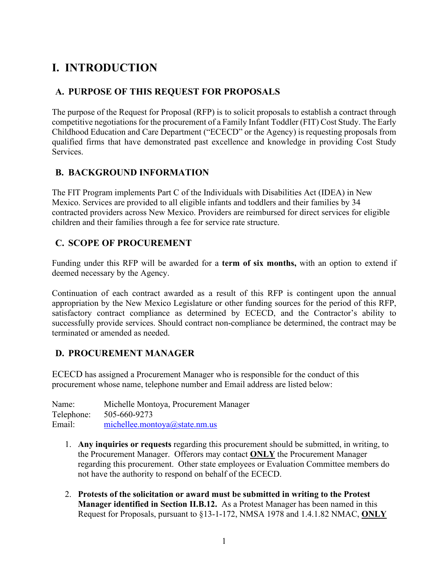# <span id="page-3-0"></span>**I. INTRODUCTION**

### <span id="page-3-1"></span>**A. PURPOSE OF THIS REQUEST FOR PROPOSALS**

The purpose of the Request for Proposal (RFP) is to solicit proposals to establish a contract through competitive negotiations for the procurement of a Family Infant Toddler (FIT) Cost Study. The Early Childhood Education and Care Department ("ECECD" or the Agency) is requesting proposals from qualified firms that have demonstrated past excellence and knowledge in providing Cost Study Services.

### <span id="page-3-2"></span>**B. BACKGROUND INFORMATION**

The FIT Program implements Part C of the Individuals with Disabilities Act (IDEA) in New Mexico. Services are provided to all eligible infants and toddlers and their families by 34 contracted providers across New Mexico. Providers are reimbursed for direct services for eligible children and their families through a fee for service rate structure.

#### <span id="page-3-3"></span>**C. SCOPE OF PROCUREMENT**

Funding under this RFP will be awarded for a **term of six months,** with an option to extend if deemed necessary by the Agency.

Continuation of each contract awarded as a result of this RFP is contingent upon the annual appropriation by the New Mexico Legislature or other funding sources for the period of this RFP, satisfactory contract compliance as determined by ECECD, and the Contractor's ability to successfully provide services. Should contract non-compliance be determined, the contract may be terminated or amended as needed.

### <span id="page-3-4"></span>**D. PROCUREMENT MANAGER**

ECECD has assigned a Procurement Manager who is responsible for the conduct of this procurement whose name, telephone number and Email address are listed below:

Name: Michelle Montoya, Procurement Manager Telephone: 505-660-9273 Email: [michellee.montoya@state.nm.us](mailto:michellee.montoya@state.nm.us)

- 1. **Any inquiries or requests** regarding this procurement should be submitted, in writing, to the Procurement Manager. Offerors may contact **ONLY** the Procurement Manager regarding this procurement. Other state employees or Evaluation Committee members do not have the authority to respond on behalf of the ECECD.
- 2. **Protests of the solicitation or award must be submitted in writing to the Protest Manager identified in Section II.B.12.** As a Protest Manager has been named in this Request for Proposals, pursuant to §13-1-172, NMSA 1978 and 1.4.1.82 NMAC, **ONLY**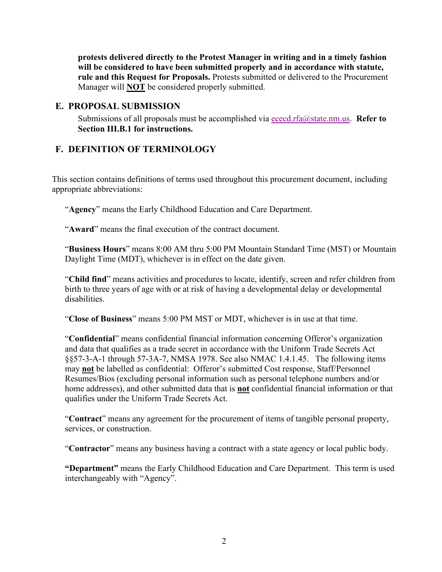**protests delivered directly to the Protest Manager in writing and in a timely fashion will be considered to have been submitted properly and in accordance with statute, rule and this Request for Proposals.** Protests submitted or delivered to the Procurement Manager will **NOT** be considered properly submitted.

#### <span id="page-4-0"></span>**E. PROPOSAL SUBMISSION**

Submissions of all proposals must be accomplished via [ececd.rfa@state.nm.us.](mailto:ececd.rfa@state.nm.us)**Refer to Section III.B.1 for instructions.**

#### <span id="page-4-1"></span>**F. DEFINITION OF TERMINOLOGY**

This section contains definitions of terms used throughout this procurement document, including appropriate abbreviations:

"**Agency**" means the Early Childhood Education and Care Department.

"**Award**" means the final execution of the contract document.

"**Business Hours**" means 8:00 AM thru 5:00 PM Mountain Standard Time (MST) or Mountain Daylight Time (MDT), whichever is in effect on the date given.

"**Child find**" means activities and procedures to locate, identify, screen and refer children from birth to three years of age with or at risk of having a developmental delay or developmental disabilities.

"**Close of Business**" means 5:00 PM MST or MDT, whichever is in use at that time.

"**Confidential**" means confidential financial information concerning Offeror's organization and data that qualifies as a trade secret in accordance with the Uniform Trade Secrets Act §§57-3-A-1 through 57-3A-7, NMSA 1978. See also NMAC 1.4.1.45. The following items may **not** be labelled as confidential: Offeror's submitted Cost response, Staff/Personnel Resumes/Bios (excluding personal information such as personal telephone numbers and/or home addresses), and other submitted data that is **not** confidential financial information or that qualifies under the Uniform Trade Secrets Act.

"**Contract**" means any agreement for the procurement of items of tangible personal property, services, or construction.

"**Contractor**" means any business having a contract with a state agency or local public body.

**"Department"** means the Early Childhood Education and Care Department. This term is used interchangeably with "Agency".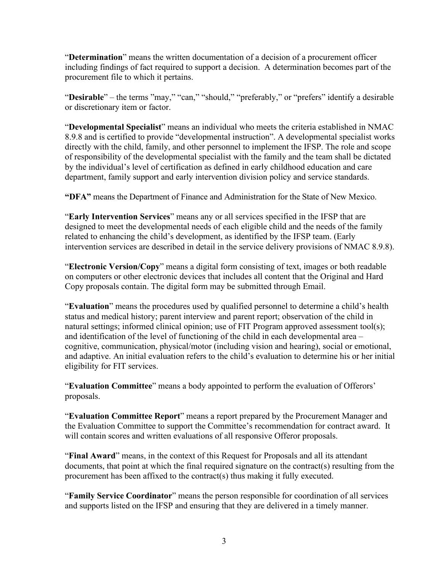"**Determination**" means the written documentation of a decision of a procurement officer including findings of fact required to support a decision. A determination becomes part of the procurement file to which it pertains.

"**Desirable**" – the terms "may," "can," "should," "preferably," or "prefers" identify a desirable or discretionary item or factor.

"**Developmental Specialist**" means an individual who meets the criteria established in NMAC 8.9.8 and is certified to provide "developmental instruction". A developmental specialist works directly with the child, family, and other personnel to implement the IFSP. The role and scope of responsibility of the developmental specialist with the family and the team shall be dictated by the individual's level of certification as defined in early childhood education and care department, family support and early intervention division policy and service standards.

**"DFA"** means the Department of Finance and Administration for the State of New Mexico.

"**Early Intervention Services**" means any or all services specified in the IFSP that are designed to meet the developmental needs of each eligible child and the needs of the family related to enhancing the child's development, as identified by the IFSP team. (Early intervention services are described in detail in the service delivery provisions of NMAC 8.9.8).

"**Electronic Version/Copy**" means a digital form consisting of text, images or both readable on computers or other electronic devices that includes all content that the Original and Hard Copy proposals contain. The digital form may be submitted through Email.

"**Evaluation**" means the procedures used by qualified personnel to determine a child's health status and medical history; parent interview and parent report; observation of the child in natural settings; informed clinical opinion; use of FIT Program approved assessment tool(s); and identification of the level of functioning of the child in each developmental area – cognitive, communication, physical/motor (including vision and hearing), social or emotional, and adaptive. An initial evaluation refers to the child's evaluation to determine his or her initial eligibility for FIT services.

"**Evaluation Committee**" means a body appointed to perform the evaluation of Offerors' proposals.

"**Evaluation Committee Report**" means a report prepared by the Procurement Manager and the Evaluation Committee to support the Committee's recommendation for contract award. It will contain scores and written evaluations of all responsive Offeror proposals.

"**Final Award**" means, in the context of this Request for Proposals and all its attendant documents, that point at which the final required signature on the contract(s) resulting from the procurement has been affixed to the contract(s) thus making it fully executed.

"**Family Service Coordinator**" means the person responsible for coordination of all services and supports listed on the IFSP and ensuring that they are delivered in a timely manner.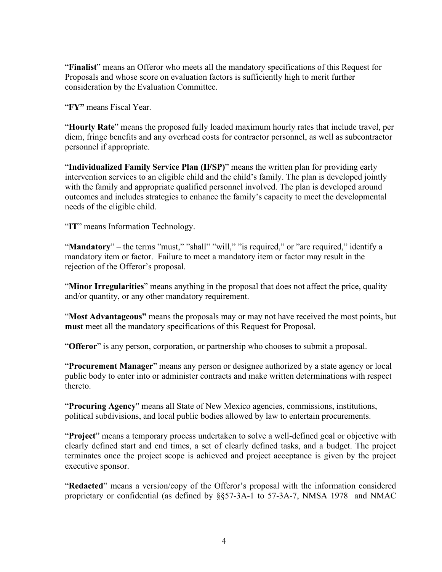"**Finalist**" means an Offeror who meets all the mandatory specifications of this Request for Proposals and whose score on evaluation factors is sufficiently high to merit further consideration by the Evaluation Committee.

"**FY"** means Fiscal Year.

"**Hourly Rate**" means the proposed fully loaded maximum hourly rates that include travel, per diem, fringe benefits and any overhead costs for contractor personnel, as well as subcontractor personnel if appropriate.

"**Individualized Family Service Plan (IFSP)**" means the written plan for providing early intervention services to an eligible child and the child's family. The plan is developed jointly with the family and appropriate qualified personnel involved. The plan is developed around outcomes and includes strategies to enhance the family's capacity to meet the developmental needs of the eligible child.

"**IT**" means Information Technology.

"**Mandatory**" – the terms "must," "shall" "will," "is required," or "are required," identify a mandatory item or factor. Failure to meet a mandatory item or factor may result in the rejection of the Offeror's proposal.

"**Minor Irregularities**" means anything in the proposal that does not affect the price, quality and/or quantity, or any other mandatory requirement.

"**Most Advantageous"** means the proposals may or may not have received the most points, but **must** meet all the mandatory specifications of this Request for Proposal.

"**Offeror**" is any person, corporation, or partnership who chooses to submit a proposal.

"**Procurement Manager**" means any person or designee authorized by a state agency or local public body to enter into or administer contracts and make written determinations with respect thereto.

"**Procuring Agency**" means all State of New Mexico agencies, commissions, institutions, political subdivisions, and local public bodies allowed by law to entertain procurements.

"**Project**" means a temporary process undertaken to solve a well-defined goal or objective with clearly defined start and end times, a set of clearly defined tasks, and a budget. The project terminates once the project scope is achieved and project acceptance is given by the project executive sponsor.

"**Redacted**" means a version/copy of the Offeror's proposal with the information considered proprietary or confidential (as defined by §§57-3A-1 to 57-3A-7, NMSA 1978 and NMAC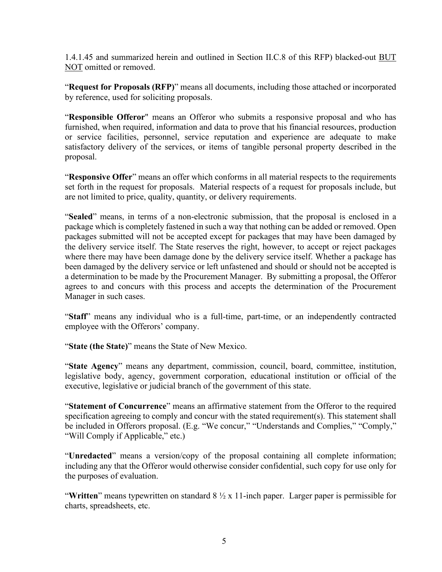1.4.1.45 and summarized herein and outlined in Section II.C.8 of this RFP) blacked-out BUT NOT omitted or removed.

"**Request for Proposals (RFP)**" means all documents, including those attached or incorporated by reference, used for soliciting proposals.

"**Responsible Offeror**" means an Offeror who submits a responsive proposal and who has furnished, when required, information and data to prove that his financial resources, production or service facilities, personnel, service reputation and experience are adequate to make satisfactory delivery of the services, or items of tangible personal property described in the proposal.

"**Responsive Offer**" means an offer which conforms in all material respects to the requirements set forth in the request for proposals. Material respects of a request for proposals include, but are not limited to price, quality, quantity, or delivery requirements.

"**Sealed**" means, in terms of a non-electronic submission, that the proposal is enclosed in a package which is completely fastened in such a way that nothing can be added or removed. Open packages submitted will not be accepted except for packages that may have been damaged by the delivery service itself. The State reserves the right, however, to accept or reject packages where there may have been damage done by the delivery service itself. Whether a package has been damaged by the delivery service or left unfastened and should or should not be accepted is a determination to be made by the Procurement Manager. By submitting a proposal, the Offeror agrees to and concurs with this process and accepts the determination of the Procurement Manager in such cases.

"**Staff**" means any individual who is a full-time, part-time, or an independently contracted employee with the Offerors' company.

"**State (the State)**" means the State of New Mexico.

"**State Agency**" means any department, commission, council, board, committee, institution, legislative body, agency, government corporation, educational institution or official of the executive, legislative or judicial branch of the government of this state.

"**Statement of Concurrence**" means an affirmative statement from the Offeror to the required specification agreeing to comply and concur with the stated requirement(s). This statement shall be included in Offerors proposal. (E.g. "We concur," "Understands and Complies," "Comply," "Will Comply if Applicable," etc.)

"**Unredacted**" means a version/copy of the proposal containing all complete information; including any that the Offeror would otherwise consider confidential, such copy for use only for the purposes of evaluation.

"**Written**" means typewritten on standard 8 ½ x 11-inch paper. Larger paper is permissible for charts, spreadsheets, etc.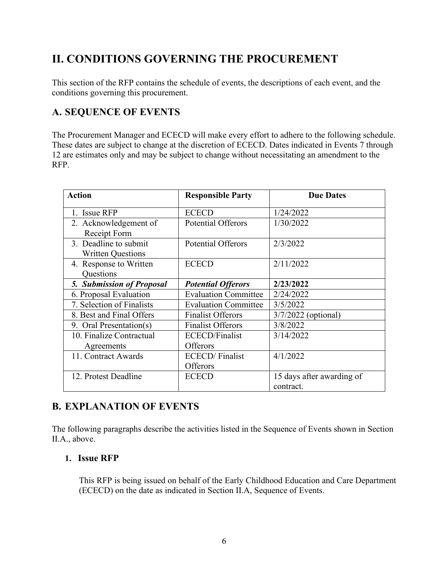# <span id="page-8-0"></span>**II. CONDITIONS GOVERNING THE PROCUREMENT**

This section of the RFP contains the schedule of events, the descriptions of each event, and the conditions governing this procurement.

### <span id="page-8-1"></span>**A. SEQUENCE OF EVENTS**

The Procurement Manager and ECECD will make every effort to adhere to the following schedule. These dates are subject to change at the discretion of ECECD. Dates indicated in Events 7 through 12 are estimates only and may be subject to change without necessitating an amendment to the RFP.

| <b>Action</b>                                     | <b>Responsible Party</b>            | <b>Due Dates</b>                       |
|---------------------------------------------------|-------------------------------------|----------------------------------------|
| 1. Issue RFP                                      | <b>ECECD</b>                        | 1/24/2022                              |
| 2. Acknowledgement of<br>Receipt Form             | <b>Potential Offerors</b>           | 1/30/2022                              |
| 3. Deadline to submit<br><b>Written Questions</b> | <b>Potential Offerors</b>           | 2/3/2022                               |
| 4. Response to Written<br>Questions               | <b>ECECD</b>                        | 2/11/2022                              |
| <b>5. Submission of Proposal</b>                  | <b>Potential Offerors</b>           | 2/23/2022                              |
| 6. Proposal Evaluation                            | <b>Evaluation Committee</b>         | 2/24/2022                              |
| 7. Selection of Finalists                         | <b>Evaluation Committee</b>         | 3/5/2022                               |
| 8. Best and Final Offers                          | <b>Finalist Offerors</b>            | 3/7/2022 (optional)                    |
| 9. Oral Presentation(s)                           | <b>Finalist Offerors</b>            | 3/8/2022                               |
| 10. Finalize Contractual                          | <b>ECECD/Finalist</b>               | 3/14/2022                              |
| Agreements                                        | Offerors                            |                                        |
| 11. Contract Awards                               | <b>ECECD</b> / Finalist<br>Offerors | 4/1/2022                               |
| 12. Protest Deadline                              | <b>ECECD</b>                        | 15 days after awarding of<br>contract. |

### <span id="page-8-2"></span>**B. EXPLANATION OF EVENTS**

The following paragraphs describe the activities listed in the Sequence of Events shown in Section II.A., above.

#### <span id="page-8-3"></span>**1. Issue RFP**

This RFP is being issued on behalf of the Early Childhood Education and Care Department (ECECD) on the date as indicated in Section II.A, Sequence of Events.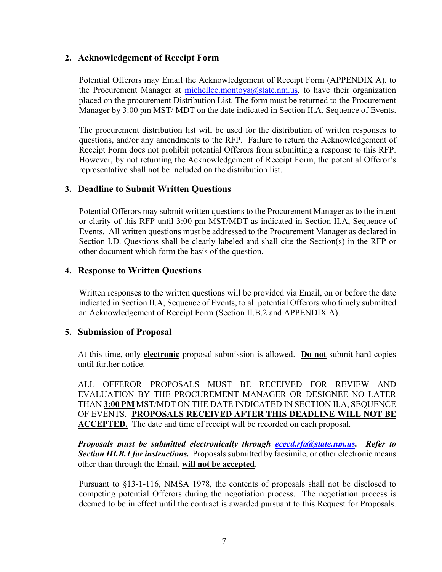#### <span id="page-9-0"></span>**2. Acknowledgement of Receipt Form**

Potential Offerors may Email the Acknowledgement of Receipt Form (APPENDIX A), to the Procurement Manager at  $\frac{\text{michellee.montoya}(\text{Qstate.nm.us, to have their organization})}{\text{Qstate.nm.us.}}$ placed on the procurement Distribution List. The form must be returned to the Procurement Manager by 3:00 pm MST/ MDT on the date indicated in Section II.A, Sequence of Events.

The procurement distribution list will be used for the distribution of written responses to questions, and/or any amendments to the RFP. Failure to return the Acknowledgement of Receipt Form does not prohibit potential Offerors from submitting a response to this RFP. However, by not returning the Acknowledgement of Receipt Form, the potential Offeror's representative shall not be included on the distribution list.

#### <span id="page-9-1"></span>**3. Deadline to Submit Written Questions**

Potential Offerors may submit written questions to the Procurement Manager as to the intent or clarity of this RFP until 3:00 pm MST/MDT as indicated in Section II.A, Sequence of Events. All written questions must be addressed to the Procurement Manager as declared in Section I.D. Questions shall be clearly labeled and shall cite the Section(s) in the RFP or other document which form the basis of the question.

#### <span id="page-9-2"></span>**4. Response to Written Questions**

Written responses to the written questions will be provided via Email, on or before the date indicated in Section II.A, Sequence of Events, to all potential Offerors who timely submitted an Acknowledgement of Receipt Form (Section II.B.2 and APPENDIX A).

#### <span id="page-9-3"></span>**5. Submission of Proposal**

At this time, only **electronic** proposal submission is allowed. **Do not** submit hard copies until further notice.

ALL OFFEROR PROPOSALS MUST BE RECEIVED FOR REVIEW AND EVALUATION BY THE PROCUREMENT MANAGER OR DESIGNEE NO LATER THAN **3:00 PM** MST/MDT ON THE DATE INDICATED IN SECTION II.A, SEQUENCE OF EVENTS. **PROPOSALS RECEIVED AFTER THIS DEADLINE WILL NOT BE ACCEPTED.** The date and time of receipt will be recorded on each proposal.

*Proposals must be submitted electronically through [ececd.rfa@state.nm.us.](mailto:ececd.rfa@state.nm.us) Refer to Section III.B.1 for instructions.* Proposals submitted by facsimile, or other electronic means other than through the Email, **will not be accepted**.

Pursuant to §13-1-116, NMSA 1978, the contents of proposals shall not be disclosed to competing potential Offerors during the negotiation process. The negotiation process is deemed to be in effect until the contract is awarded pursuant to this Request for Proposals.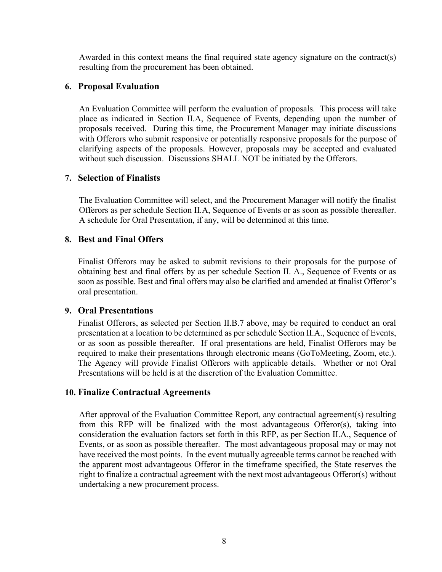Awarded in this context means the final required state agency signature on the contract(s) resulting from the procurement has been obtained.

#### <span id="page-10-0"></span>**6. Proposal Evaluation**

An Evaluation Committee will perform the evaluation of proposals. This process will take place as indicated in Section II.A, Sequence of Events, depending upon the number of proposals received. During this time, the Procurement Manager may initiate discussions with Offerors who submit responsive or potentially responsive proposals for the purpose of clarifying aspects of the proposals. However, proposals may be accepted and evaluated without such discussion. Discussions SHALL NOT be initiated by the Offerors.

#### <span id="page-10-1"></span>**7. Selection of Finalists**

The Evaluation Committee will select, and the Procurement Manager will notify the finalist Offerors as per schedule Section II.A, Sequence of Events or as soon as possible thereafter. A schedule for Oral Presentation, if any, will be determined at this time.

#### <span id="page-10-2"></span>**8. Best and Final Offers**

Finalist Offerors may be asked to submit revisions to their proposals for the purpose of obtaining best and final offers by as per schedule Section II. A., Sequence of Events or as soon as possible. Best and final offers may also be clarified and amended at finalist Offeror's oral presentation.

#### <span id="page-10-3"></span>**9. Oral Presentations**

Finalist Offerors, as selected per Section II.B.7 above, may be required to conduct an oral presentation at a location to be determined as per schedule Section II.A., Sequence of Events, or as soon as possible thereafter. If oral presentations are held, Finalist Offerors may be required to make their presentations through electronic means (GoToMeeting, Zoom, etc.). The Agency will provide Finalist Offerors with applicable details. Whether or not Oral Presentations will be held is at the discretion of the Evaluation Committee.

#### <span id="page-10-4"></span>**10. Finalize Contractual Agreements**

After approval of the Evaluation Committee Report, any contractual agreement(s) resulting from this RFP will be finalized with the most advantageous Offeror(s), taking into consideration the evaluation factors set forth in this RFP, as per Section II.A., Sequence of Events, or as soon as possible thereafter. The most advantageous proposal may or may not have received the most points. In the event mutually agreeable terms cannot be reached with the apparent most advantageous Offeror in the timeframe specified, the State reserves the right to finalize a contractual agreement with the next most advantageous Offeror(s) without undertaking a new procurement process.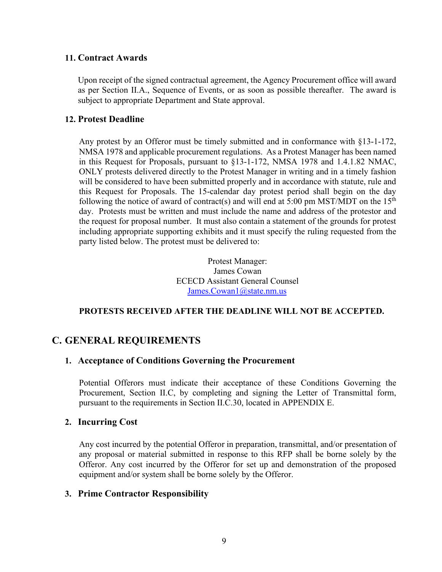#### <span id="page-11-0"></span>**11. Contract Awards**

Upon receipt of the signed contractual agreement, the Agency Procurement office will award as per Section II.A., Sequence of Events, or as soon as possible thereafter. The award is subject to appropriate Department and State approval.

#### <span id="page-11-1"></span>**12. Protest Deadline**

Any protest by an Offeror must be timely submitted and in conformance with §13-1-172, NMSA 1978 and applicable procurement regulations. As a Protest Manager has been named in this Request for Proposals, pursuant to §13-1-172, NMSA 1978 and 1.4.1.82 NMAC, ONLY protests delivered directly to the Protest Manager in writing and in a timely fashion will be considered to have been submitted properly and in accordance with statute, rule and this Request for Proposals. The 15-calendar day protest period shall begin on the day following the notice of award of contract(s) and will end at 5:00 pm MST/MDT on the  $15<sup>th</sup>$ day. Protests must be written and must include the name and address of the protestor and the request for proposal number. It must also contain a statement of the grounds for protest including appropriate supporting exhibits and it must specify the ruling requested from the party listed below. The protest must be delivered to:

> Protest Manager: James Cowan ECECD Assistant General Counsel [James.Cowan1@state.nm.us](mailto:James.Cowan1@state.nm.us)

#### **PROTESTS RECEIVED AFTER THE DEADLINE WILL NOT BE ACCEPTED.**

#### <span id="page-11-3"></span><span id="page-11-2"></span>**C. GENERAL REQUIREMENTS**

#### **1. Acceptance of Conditions Governing the Procurement**

Potential Offerors must indicate their acceptance of these Conditions Governing the Procurement, Section II.C, by completing and signing the Letter of Transmittal form, pursuant to the requirements in Section II.C.30, located in APPENDIX E.

#### <span id="page-11-4"></span>**2. Incurring Cost**

Any cost incurred by the potential Offeror in preparation, transmittal, and/or presentation of any proposal or material submitted in response to this RFP shall be borne solely by the Offeror. Any cost incurred by the Offeror for set up and demonstration of the proposed equipment and/or system shall be borne solely by the Offeror.

#### <span id="page-11-5"></span>**3. Prime Contractor Responsibility**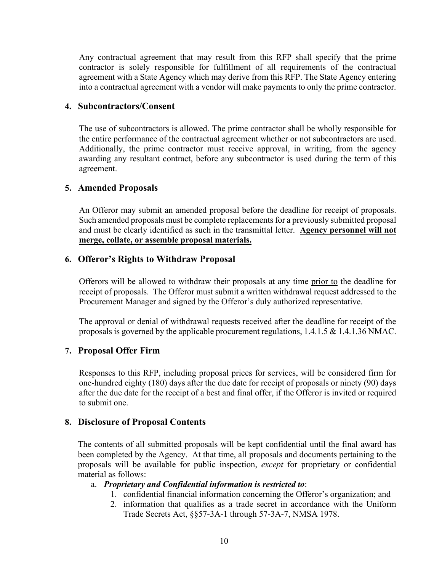Any contractual agreement that may result from this RFP shall specify that the prime contractor is solely responsible for fulfillment of all requirements of the contractual agreement with a State Agency which may derive from this RFP. The State Agency entering into a contractual agreement with a vendor will make payments to only the prime contractor.

#### <span id="page-12-0"></span>**4. Subcontractors/Consent**

The use of subcontractors is allowed. The prime contractor shall be wholly responsible for the entire performance of the contractual agreement whether or not subcontractors are used. Additionally, the prime contractor must receive approval, in writing, from the agency awarding any resultant contract, before any subcontractor is used during the term of this agreement.

#### <span id="page-12-1"></span>**5. Amended Proposals**

An Offeror may submit an amended proposal before the deadline for receipt of proposals. Such amended proposals must be complete replacements for a previously submitted proposal and must be clearly identified as such in the transmittal letter. **Agency personnel will not merge, collate, or assemble proposal materials.**

#### <span id="page-12-2"></span>**6. Offeror's Rights to Withdraw Proposal**

Offerors will be allowed to withdraw their proposals at any time prior to the deadline for receipt of proposals. The Offeror must submit a written withdrawal request addressed to the Procurement Manager and signed by the Offeror's duly authorized representative.

The approval or denial of withdrawal requests received after the deadline for receipt of the proposals is governed by the applicable procurement regulations, 1.4.1.5 & 1.4.1.36 NMAC.

#### <span id="page-12-3"></span>**7. Proposal Offer Firm**

Responses to this RFP, including proposal prices for services, will be considered firm for one-hundred eighty (180) days after the due date for receipt of proposals or ninety (90) days after the due date for the receipt of a best and final offer, if the Offeror is invited or required to submit one.

#### <span id="page-12-4"></span>**8. Disclosure of Proposal Contents**

The contents of all submitted proposals will be kept confidential until the final award has been completed by the Agency. At that time, all proposals and documents pertaining to the proposals will be available for public inspection, *except* for proprietary or confidential material as follows:

#### a. *Proprietary and Confidential information is restricted to*:

- 1. confidential financial information concerning the Offeror's organization; and
- 2. information that qualifies as a trade secret in accordance with the Uniform Trade Secrets Act, §§57-3A-1 through 57-3A-7, NMSA 1978.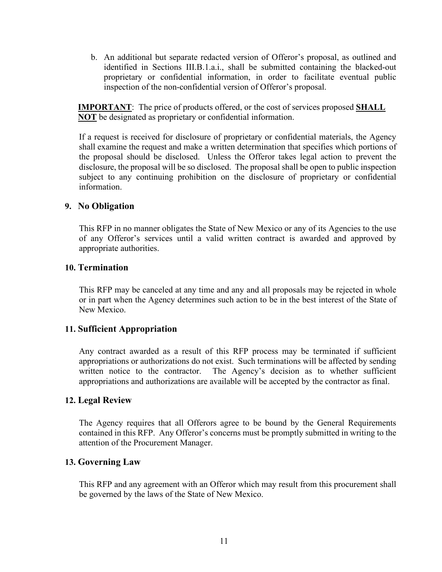b. An additional but separate redacted version of Offeror's proposal, as outlined and identified in Sections III.B.1.a.i., shall be submitted containing the blacked-out proprietary or confidential information, in order to facilitate eventual public inspection of the non-confidential version of Offeror's proposal.

**IMPORTANT**: The price of products offered, or the cost of services proposed **SHALL NOT** be designated as proprietary or confidential information.

If a request is received for disclosure of proprietary or confidential materials, the Agency shall examine the request and make a written determination that specifies which portions of the proposal should be disclosed. Unless the Offeror takes legal action to prevent the disclosure, the proposal will be so disclosed. The proposal shall be open to public inspection subject to any continuing prohibition on the disclosure of proprietary or confidential information.

#### <span id="page-13-0"></span>**9. No Obligation**

This RFP in no manner obligates the State of New Mexico or any of its Agencies to the use of any Offeror's services until a valid written contract is awarded and approved by appropriate authorities.

#### <span id="page-13-1"></span>**10. Termination**

This RFP may be canceled at any time and any and all proposals may be rejected in whole or in part when the Agency determines such action to be in the best interest of the State of New Mexico.

#### <span id="page-13-2"></span>**11. Sufficient Appropriation**

Any contract awarded as a result of this RFP process may be terminated if sufficient appropriations or authorizations do not exist. Such terminations will be affected by sending written notice to the contractor. The Agency's decision as to whether sufficient appropriations and authorizations are available will be accepted by the contractor as final.

#### <span id="page-13-3"></span>**12. Legal Review**

The Agency requires that all Offerors agree to be bound by the General Requirements contained in this RFP. Any Offeror's concerns must be promptly submitted in writing to the attention of the Procurement Manager.

#### <span id="page-13-4"></span>**13. Governing Law**

This RFP and any agreement with an Offeror which may result from this procurement shall be governed by the laws of the State of New Mexico.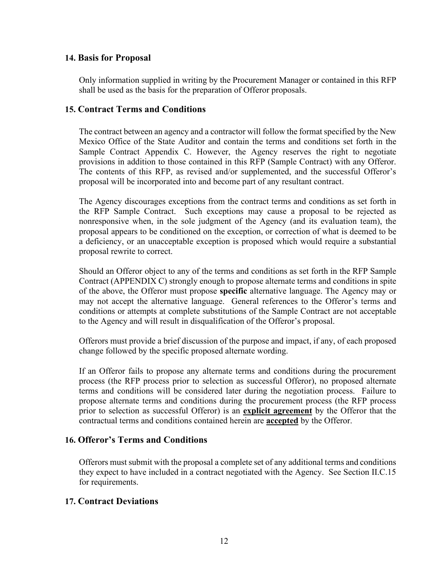#### <span id="page-14-0"></span>**14. Basis for Proposal**

Only information supplied in writing by the Procurement Manager or contained in this RFP shall be used as the basis for the preparation of Offeror proposals.

#### <span id="page-14-1"></span>**15. Contract Terms and Conditions**

The contract between an agency and a contractor will follow the format specified by the New Mexico Office of the State Auditor and contain the terms and conditions set forth in the Sample Contract Appendix C. However, the Agency reserves the right to negotiate provisions in addition to those contained in this RFP (Sample Contract) with any Offeror. The contents of this RFP, as revised and/or supplemented, and the successful Offeror's proposal will be incorporated into and become part of any resultant contract.

The Agency discourages exceptions from the contract terms and conditions as set forth in the RFP Sample Contract. Such exceptions may cause a proposal to be rejected as nonresponsive when, in the sole judgment of the Agency (and its evaluation team), the proposal appears to be conditioned on the exception, or correction of what is deemed to be a deficiency, or an unacceptable exception is proposed which would require a substantial proposal rewrite to correct.

Should an Offeror object to any of the terms and conditions as set forth in the RFP Sample Contract (APPENDIX C) strongly enough to propose alternate terms and conditions in spite of the above, the Offeror must propose **specific** alternative language. The Agency may or may not accept the alternative language. General references to the Offeror's terms and conditions or attempts at complete substitutions of the Sample Contract are not acceptable to the Agency and will result in disqualification of the Offeror's proposal.

Offerors must provide a brief discussion of the purpose and impact, if any, of each proposed change followed by the specific proposed alternate wording.

If an Offeror fails to propose any alternate terms and conditions during the procurement process (the RFP process prior to selection as successful Offeror), no proposed alternate terms and conditions will be considered later during the negotiation process. Failure to propose alternate terms and conditions during the procurement process (the RFP process prior to selection as successful Offeror) is an **explicit agreement** by the Offeror that the contractual terms and conditions contained herein are **accepted** by the Offeror.

#### <span id="page-14-2"></span>**16. Offeror's Terms and Conditions**

Offerors must submit with the proposal a complete set of any additional terms and conditions they expect to have included in a contract negotiated with the Agency. See Section II.C.15 for requirements.

#### <span id="page-14-3"></span>**17. Contract Deviations**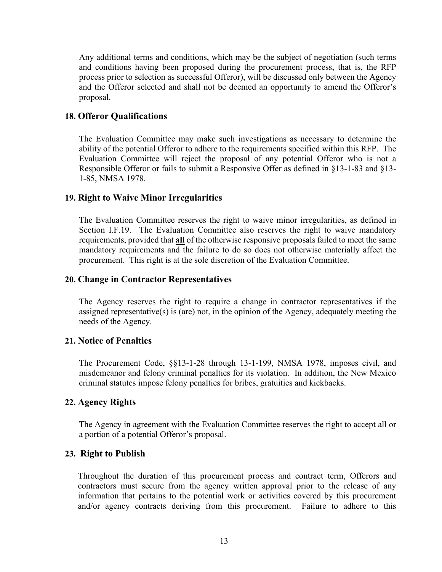Any additional terms and conditions, which may be the subject of negotiation (such terms and conditions having been proposed during the procurement process, that is, the RFP process prior to selection as successful Offeror), will be discussed only between the Agency and the Offeror selected and shall not be deemed an opportunity to amend the Offeror's proposal.

#### <span id="page-15-0"></span>**18. Offeror Qualifications**

The Evaluation Committee may make such investigations as necessary to determine the ability of the potential Offeror to adhere to the requirements specified within this RFP. The Evaluation Committee will reject the proposal of any potential Offeror who is not a Responsible Offeror or fails to submit a Responsive Offer as defined in §13-1-83 and §13- 1-85, NMSA 1978.

#### <span id="page-15-1"></span>**19. Right to Waive Minor Irregularities**

The Evaluation Committee reserves the right to waive minor irregularities, as defined in Section I.F.19. The Evaluation Committee also reserves the right to waive mandatory requirements, provided that **all** of the otherwise responsive proposals failed to meet the same mandatory requirements and the failure to do so does not otherwise materially affect the procurement. This right is at the sole discretion of the Evaluation Committee.

#### <span id="page-15-2"></span>**20. Change in Contractor Representatives**

The Agency reserves the right to require a change in contractor representatives if the assigned representative(s) is (are) not, in the opinion of the Agency, adequately meeting the needs of the Agency.

#### <span id="page-15-3"></span>**21. Notice of Penalties**

The Procurement Code, §§13-1-28 through 13-1-199, NMSA 1978, imposes civil, and misdemeanor and felony criminal penalties for its violation. In addition, the New Mexico criminal statutes impose felony penalties for bribes, gratuities and kickbacks.

#### <span id="page-15-4"></span>**22. Agency Rights**

The Agency in agreement with the Evaluation Committee reserves the right to accept all or a portion of a potential Offeror's proposal.

#### <span id="page-15-5"></span>**23. Right to Publish**

Throughout the duration of this procurement process and contract term, Offerors and contractors must secure from the agency written approval prior to the release of any information that pertains to the potential work or activities covered by this procurement and/or agency contracts deriving from this procurement. Failure to adhere to this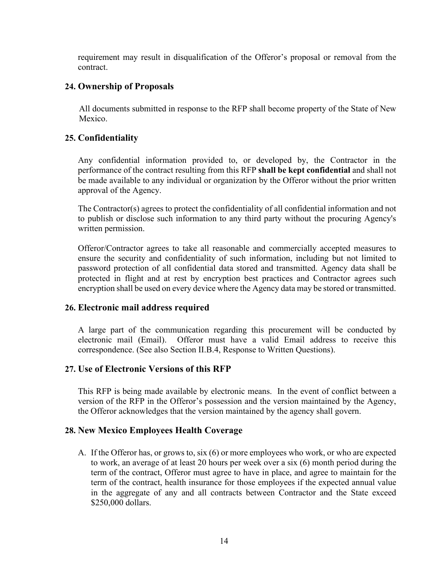requirement may result in disqualification of the Offeror's proposal or removal from the contract.

#### <span id="page-16-0"></span>**24. Ownership of Proposals**

All documents submitted in response to the RFP shall become property of the State of New Mexico.

#### <span id="page-16-1"></span>**25. Confidentiality**

Any confidential information provided to, or developed by, the Contractor in the performance of the contract resulting from this RFP **shall be kept confidential** and shall not be made available to any individual or organization by the Offeror without the prior written approval of the Agency.

The Contractor(s) agrees to protect the confidentiality of all confidential information and not to publish or disclose such information to any third party without the procuring Agency's written permission.

Offeror/Contractor agrees to take all reasonable and commercially accepted measures to ensure the security and confidentiality of such information, including but not limited to password protection of all confidential data stored and transmitted. Agency data shall be protected in flight and at rest by encryption best practices and Contractor agrees such encryption shall be used on every device where the Agency data may be stored or transmitted.

#### <span id="page-16-2"></span>**26. Electronic mail address required**

A large part of the communication regarding this procurement will be conducted by electronic mail (Email). Offeror must have a valid Email address to receive this correspondence. (See also Section II.B.4, Response to Written Questions).

#### <span id="page-16-3"></span>**27. Use of Electronic Versions of this RFP**

This RFP is being made available by electronic means. In the event of conflict between a version of the RFP in the Offeror's possession and the version maintained by the Agency, the Offeror acknowledges that the version maintained by the agency shall govern.

#### <span id="page-16-4"></span>**28. New Mexico Employees Health Coverage**

A. If the Offeror has, or grows to, six (6) or more employees who work, or who are expected to work, an average of at least 20 hours per week over a six (6) month period during the term of the contract, Offeror must agree to have in place, and agree to maintain for the term of the contract, health insurance for those employees if the expected annual value in the aggregate of any and all contracts between Contractor and the State exceed \$250,000 dollars.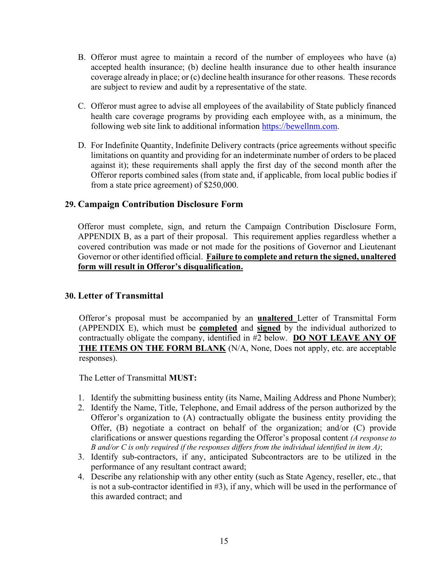- B. Offeror must agree to maintain a record of the number of employees who have (a) accepted health insurance; (b) decline health insurance due to other health insurance coverage already in place; or (c) decline health insurance for other reasons. These records are subject to review and audit by a representative of the state.
- C. Offeror must agree to advise all employees of the availability of State publicly financed health care coverage programs by providing each employee with, as a minimum, the following web site link to additional information [https://bewellnm.com.](https://bewellnm.com/)
- D. For Indefinite Quantity, Indefinite Delivery contracts (price agreements without specific limitations on quantity and providing for an indeterminate number of orders to be placed against it); these requirements shall apply the first day of the second month after the Offeror reports combined sales (from state and, if applicable, from local public bodies if from a state price agreement) of \$250,000.

#### <span id="page-17-0"></span>**29. Campaign Contribution Disclosure Form**

Offeror must complete, sign, and return the Campaign Contribution Disclosure Form, APPENDIX B, as a part of their proposal. This requirement applies regardless whether a covered contribution was made or not made for the positions of Governor and Lieutenant Governor or other identified official. **Failure to complete and return the signed, unaltered form will result in Offeror's disqualification.**

#### <span id="page-17-1"></span>**30. Letter of Transmittal**

Offeror's proposal must be accompanied by an **unaltered** Letter of Transmittal Form (APPENDIX E), which must be **completed** and **signed** by the individual authorized to contractually obligate the company, identified in #2 below. **DO NOT LEAVE ANY OF THE ITEMS ON THE FORM BLANK** (N/A, None, Does not apply, etc. are acceptable responses).

The Letter of Transmittal **MUST:**

- 1. Identify the submitting business entity (its Name, Mailing Address and Phone Number);
- 2. Identify the Name, Title, Telephone, and Email address of the person authorized by the Offeror's organization to (A) contractually obligate the business entity providing the Offer, (B) negotiate a contract on behalf of the organization; and/or (C) provide clarifications or answer questions regarding the Offeror's proposal content *(A response to B and/or C is only required if the responses differs from the individual identified in item A)*;
- 3. Identify sub-contractors, if any, anticipated Subcontractors are to be utilized in the performance of any resultant contract award;
- 4. Describe any relationship with any other entity (such as State Agency, reseller, etc., that is not a sub-contractor identified in #3), if any, which will be used in the performance of this awarded contract; and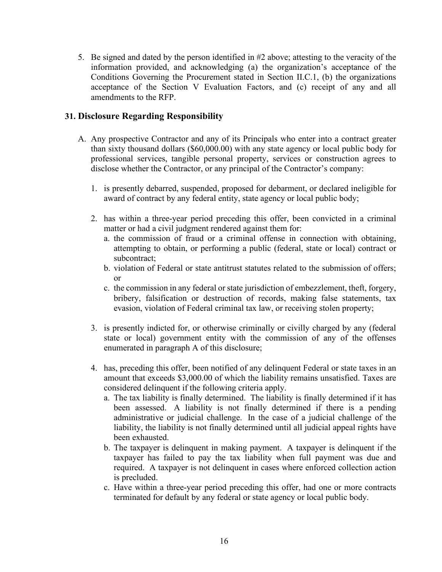5. Be signed and dated by the person identified in #2 above; attesting to the veracity of the information provided, and acknowledging (a) the organization's acceptance of the Conditions Governing the Procurement stated in Section II.C.1, (b) the organizations acceptance of the Section V Evaluation Factors, and (c) receipt of any and all amendments to the RFP.

#### <span id="page-18-0"></span>**31. Disclosure Regarding Responsibility**

- A. Any prospective Contractor and any of its Principals who enter into a contract greater than sixty thousand dollars (\$60,000.00) with any state agency or local public body for professional services, tangible personal property, services or construction agrees to disclose whether the Contractor, or any principal of the Contractor's company:
	- 1. is presently debarred, suspended, proposed for debarment, or declared ineligible for award of contract by any federal entity, state agency or local public body;
	- 2. has within a three-year period preceding this offer, been convicted in a criminal matter or had a civil judgment rendered against them for:
		- a. the commission of fraud or a criminal offense in connection with obtaining, attempting to obtain, or performing a public (federal, state or local) contract or subcontract;
		- b. violation of Federal or state antitrust statutes related to the submission of offers; or
		- c. the commission in any federal or state jurisdiction of embezzlement, theft, forgery, bribery, falsification or destruction of records, making false statements, tax evasion, violation of Federal criminal tax law, or receiving stolen property;
	- 3. is presently indicted for, or otherwise criminally or civilly charged by any (federal state or local) government entity with the commission of any of the offenses enumerated in paragraph A of this disclosure;
	- 4. has, preceding this offer, been notified of any delinquent Federal or state taxes in an amount that exceeds \$3,000.00 of which the liability remains unsatisfied. Taxes are considered delinquent if the following criteria apply.
		- a. The tax liability is finally determined. The liability is finally determined if it has been assessed. A liability is not finally determined if there is a pending administrative or judicial challenge. In the case of a judicial challenge of the liability, the liability is not finally determined until all judicial appeal rights have been exhausted.
		- b. The taxpayer is delinquent in making payment. A taxpayer is delinquent if the taxpayer has failed to pay the tax liability when full payment was due and required. A taxpayer is not delinquent in cases where enforced collection action is precluded.
		- c. Have within a three-year period preceding this offer, had one or more contracts terminated for default by any federal or state agency or local public body.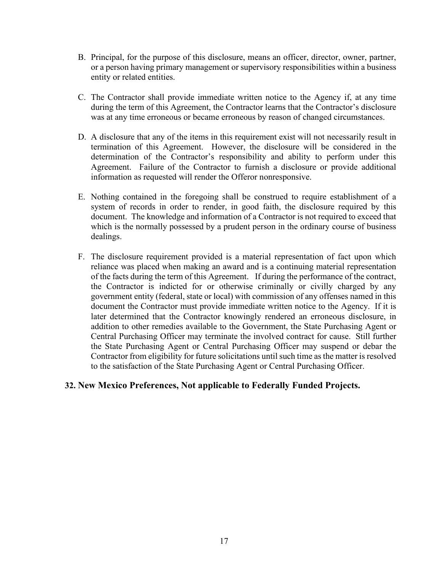- B. Principal, for the purpose of this disclosure, means an officer, director, owner, partner, or a person having primary management or supervisory responsibilities within a business entity or related entities.
- C. The Contractor shall provide immediate written notice to the Agency if, at any time during the term of this Agreement, the Contractor learns that the Contractor's disclosure was at any time erroneous or became erroneous by reason of changed circumstances.
- D. A disclosure that any of the items in this requirement exist will not necessarily result in termination of this Agreement. However, the disclosure will be considered in the determination of the Contractor's responsibility and ability to perform under this Agreement. Failure of the Contractor to furnish a disclosure or provide additional information as requested will render the Offeror nonresponsive.
- E. Nothing contained in the foregoing shall be construed to require establishment of a system of records in order to render, in good faith, the disclosure required by this document. The knowledge and information of a Contractor is not required to exceed that which is the normally possessed by a prudent person in the ordinary course of business dealings.
- F. The disclosure requirement provided is a material representation of fact upon which reliance was placed when making an award and is a continuing material representation of the facts during the term of this Agreement. If during the performance of the contract, the Contractor is indicted for or otherwise criminally or civilly charged by any government entity (federal, state or local) with commission of any offenses named in this document the Contractor must provide immediate written notice to the Agency. If it is later determined that the Contractor knowingly rendered an erroneous disclosure, in addition to other remedies available to the Government, the State Purchasing Agent or Central Purchasing Officer may terminate the involved contract for cause. Still further the State Purchasing Agent or Central Purchasing Officer may suspend or debar the Contractor from eligibility for future solicitations until such time as the matter is resolved to the satisfaction of the State Purchasing Agent or Central Purchasing Officer.

#### <span id="page-19-0"></span>**32. New Mexico Preferences, Not applicable to Federally Funded Projects.**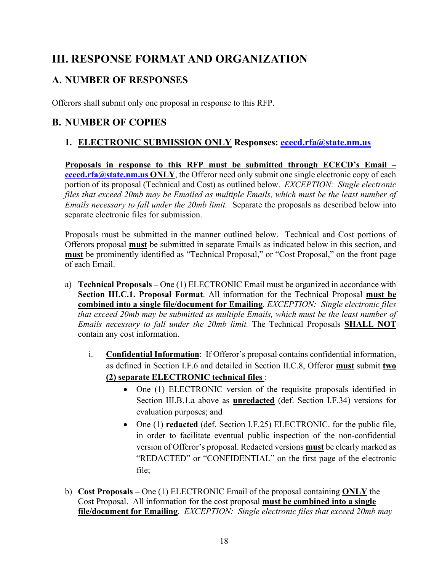# <span id="page-20-0"></span>**III. RESPONSE FORMAT AND ORGANIZATION**

# <span id="page-20-1"></span>**A. NUMBER OF RESPONSES**

Offerors shall submit only one proposal in response to this RFP.

# <span id="page-20-2"></span>**B. NUMBER OF COPIES**

### **1. ELECTRONIC SUBMISSION ONLY Responses: [ececd.rfa@state.nm.us](mailto:ececd.rfa@state.nm.us)**

**Proposals in response to this RFP must be submitted through ECECD's Email – [ececd.rfa@state.nm.us](mailto:ececd.rfa@state.nm.us) ONLY**, the Offeror need only submit one single electronic copy of each portion of its proposal (Technical and Cost) as outlined below. *EXCEPTION: Single electronic files that exceed 20mb may be Emailed as multiple Emails, which must be the least number of Emails necessary to fall under the 20mb limit.* Separate the proposals as described below into separate electronic files for submission.

Proposals must be submitted in the manner outlined below. Technical and Cost portions of Offerors proposal **must** be submitted in separate Emails as indicated below in this section, and **must** be prominently identified as "Technical Proposal," or "Cost Proposal," on the front page of each Email.

- a) **Technical Proposals –** One (1) ELECTRONIC Email must be organized in accordance with **Section III.C.1. Proposal Format**. All information for the Technical Proposal **must be combined into a single file/document for Emailing**. *EXCEPTION: Single electronic files that exceed 20mb may be submitted as multiple Emails, which must be the least number of Emails necessary to fall under the 20mb limit.* The Technical Proposals **SHALL NOT** contain any cost information.
	- i. **Confidential Information**: If Offeror's proposal contains confidential information, as defined in Section I.F.6 and detailed in Section II.C.8, Offeror **must** submit **two (2) separate ELECTRONIC technical files** :
		- One (1) ELECTRONIC version of the requisite proposals identified in Section III.B.1.a above as **unredacted** (def. Section I.F.34) versions for evaluation purposes; and
		- One (1) **redacted** (def. Section I.F.25) ELECTRONIC. for the public file, in order to facilitate eventual public inspection of the non-confidential version of Offeror's proposal. Redacted versions **must** be clearly marked as "REDACTED" or "CONFIDENTIAL" on the first page of the electronic file;
- b) **Cost Proposals –** One (1) ELECTRONIC Email of the proposal containing **ONLY** the Cost Proposal. All information for the cost proposal **must be combined into a single file/document for Emailing**. *EXCEPTION: Single electronic files that exceed 20mb may*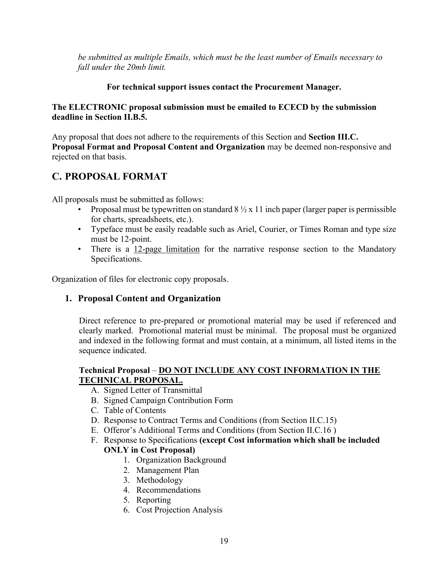*be submitted as multiple Emails, which must be the least number of Emails necessary to fall under the 20mb limit.*

#### **For technical support issues contact the Procurement Manager.**

#### **The ELECTRONIC proposal submission must be emailed to ECECD by the submission deadline in Section II.B.5.**

Any proposal that does not adhere to the requirements of this Section and **Section III.C. Proposal Format and Proposal Content and Organization** may be deemed non-responsive and rejected on that basis.

# <span id="page-21-0"></span>**C. PROPOSAL FORMAT**

All proposals must be submitted as follows:

- Proposal must be typewritten on standard  $8\frac{1}{2} \times 11$  inch paper (larger paper is permissible for charts, spreadsheets, etc.).
- Typeface must be easily readable such as Ariel, Courier, or Times Roman and type size must be 12-point.
- There is a 12-page limitation for the narrative response section to the Mandatory Specifications.

<span id="page-21-1"></span>Organization of files for electronic copy proposals.

### **1. Proposal Content and Organization**

Direct reference to pre-prepared or promotional material may be used if referenced and clearly marked. Promotional material must be minimal. The proposal must be organized and indexed in the following format and must contain, at a minimum, all listed items in the sequence indicated.

#### **Technical Proposal** – **DO NOT INCLUDE ANY COST INFORMATION IN THE TECHNICAL PROPOSAL.**

- A. Signed Letter of Transmittal
- B. Signed Campaign Contribution Form
- C. Table of Contents
- D. Response to Contract Terms and Conditions (from Section II.C.15)
- E. Offeror's Additional Terms and Conditions (from Section II.C.16 )
- F. Response to Specifications **(except Cost information which shall be included ONLY in Cost Proposal)** 
	- 1. Organization Background
	- 2. Management Plan
	- 3. Methodology
	- 4. Recommendations
	- 5. Reporting
	- 6. Cost Projection Analysis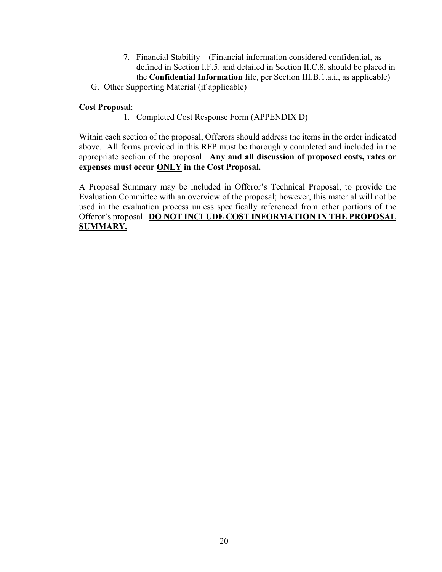- 7. Financial Stability (Financial information considered confidential, as defined in Section I.F.5. and detailed in Section II.C.8, should be placed in the **Confidential Information** file, per Section III.B.1.a.i., as applicable)
- G. Other Supporting Material (if applicable)

#### **Cost Proposal**:

1. Completed Cost Response Form (APPENDIX D)

Within each section of the proposal, Offerors should address the items in the order indicated above. All forms provided in this RFP must be thoroughly completed and included in the appropriate section of the proposal. **Any and all discussion of proposed costs, rates or expenses must occur ONLY in the Cost Proposal.**

A Proposal Summary may be included in Offeror's Technical Proposal, to provide the Evaluation Committee with an overview of the proposal; however, this material will not be used in the evaluation process unless specifically referenced from other portions of the Offeror's proposal. **DO NOT INCLUDE COST INFORMATION IN THE PROPOSAL SUMMARY.**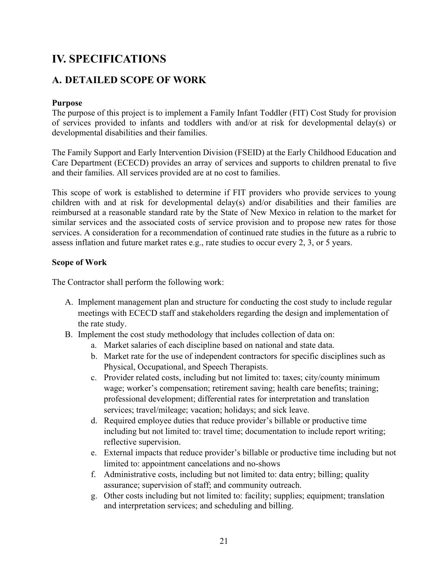# <span id="page-23-0"></span>**IV. SPECIFICATIONS**

## <span id="page-23-1"></span>**A. DETAILED SCOPE OF WORK**

#### **Purpose**

The purpose of this project is to implement a Family Infant Toddler (FIT) Cost Study for provision of services provided to infants and toddlers with and/or at risk for developmental delay(s) or developmental disabilities and their families.

The Family Support and Early Intervention Division (FSEID) at the Early Childhood Education and Care Department (ECECD) provides an array of services and supports to children prenatal to five and their families. All services provided are at no cost to families.

This scope of work is established to determine if FIT providers who provide services to young children with and at risk for developmental delay(s) and/or disabilities and their families are reimbursed at a reasonable standard rate by the State of New Mexico in relation to the market for similar services and the associated costs of service provision and to propose new rates for those services. A consideration for a recommendation of continued rate studies in the future as a rubric to assess inflation and future market rates e.g., rate studies to occur every 2, 3, or 5 years.

#### **Scope of Work**

The Contractor shall perform the following work:

- A. Implement management plan and structure for conducting the cost study to include regular meetings with ECECD staff and stakeholders regarding the design and implementation of the rate study.
- B. Implement the cost study methodology that includes collection of data on:
	- a. Market salaries of each discipline based on national and state data.
	- b. Market rate for the use of independent contractors for specific disciplines such as Physical, Occupational, and Speech Therapists.
	- c. Provider related costs, including but not limited to: taxes; city/county minimum wage; worker's compensation; retirement saving; health care benefits; training; professional development; differential rates for interpretation and translation services; travel/mileage; vacation; holidays; and sick leave.
	- d. Required employee duties that reduce provider's billable or productive time including but not limited to: travel time; documentation to include report writing; reflective supervision.
	- e. External impacts that reduce provider's billable or productive time including but not limited to: appointment cancelations and no-shows
	- f. Administrative costs, including but not limited to: data entry; billing; quality assurance; supervision of staff; and community outreach.
	- g. Other costs including but not limited to: facility; supplies; equipment; translation and interpretation services; and scheduling and billing.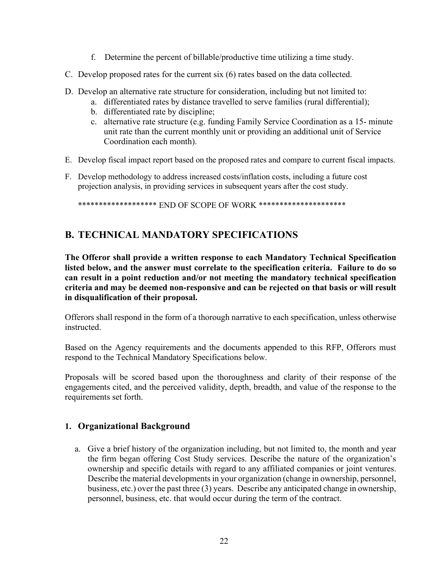- f. Determine the percent of billable/productive time utilizing a time study.
- C. Develop proposed rates for the current six (6) rates based on the data collected.
- D. Develop an alternative rate structure for consideration, including but not limited to:
	- a. differentiated rates by distance travelled to serve families (rural differential);
	- b. differentiated rate by discipline;
	- c. alternative rate structure (e.g. funding Family Service Coordination as a 15- minute unit rate than the current monthly unit or providing an additional unit of Service Coordination each month).
- E. Develop fiscal impact report based on the proposed rates and compare to current fiscal impacts.
- F. Develop methodology to address increased costs/inflation costs, including a future cost projection analysis, in providing services in subsequent years after the cost study.

\*\*\*\*\*\*\*\*\*\*\*\*\*\*\*\*\*\*\* END OF SCOPE OF WORK \*\*\*\*\*\*\*\*\*\*\*\*\*\*\*\*\*\*\*\*\*\*

### <span id="page-24-0"></span>**B. TECHNICAL MANDATORY SPECIFICATIONS**

**The Offeror shall provide a written response to each Mandatory Technical Specification listed below, and the answer must correlate to the specification criteria. Failure to do so can result in a point reduction and/or not meeting the mandatory technical specification criteria and may be deemed non-responsive and can be rejected on that basis or will result in disqualification of their proposal.** 

Offerors shall respond in the form of a thorough narrative to each specification, unless otherwise instructed.

Based on the Agency requirements and the documents appended to this RFP, Offerors must respond to the Technical Mandatory Specifications below.

Proposals will be scored based upon the thoroughness and clarity of their response of the engagements cited, and the perceived validity, depth, breadth, and value of the response to the requirements set forth.

#### **1. Organizational Background**

a. Give a brief history of the organization including, but not limited to, the month and year the firm began offering Cost Study services. Describe the nature of the organization's ownership and specific details with regard to any affiliated companies or joint ventures. Describe the material developments in your organization (change in ownership, personnel, business, etc.) over the past three (3) years. Describe any anticipated change in ownership, personnel, business, etc. that would occur during the term of the contract.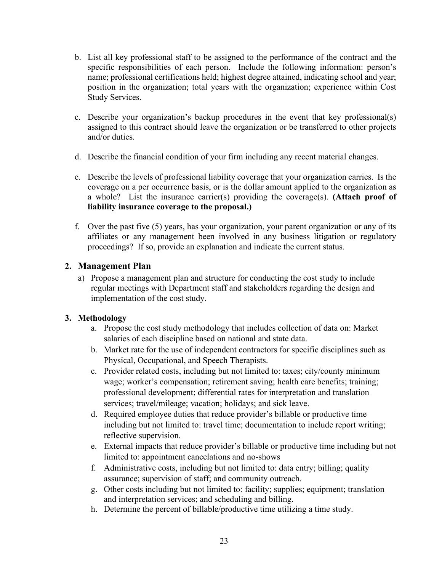- b. List all key professional staff to be assigned to the performance of the contract and the specific responsibilities of each person. Include the following information: person's name; professional certifications held; highest degree attained, indicating school and year; position in the organization; total years with the organization; experience within Cost Study Services.
- c. Describe your organization's backup procedures in the event that key professional(s) assigned to this contract should leave the organization or be transferred to other projects and/or duties.
- d. Describe the financial condition of your firm including any recent material changes.
- e. Describe the levels of professional liability coverage that your organization carries. Is the coverage on a per occurrence basis, or is the dollar amount applied to the organization as a whole? List the insurance carrier(s) providing the coverage(s). **(Attach proof of liability insurance coverage to the proposal.)**
- f. Over the past five (5) years, has your organization, your parent organization or any of its affiliates or any management been involved in any business litigation or regulatory proceedings? If so, provide an explanation and indicate the current status.

#### **2. Management Plan**

a) Propose a management plan and structure for conducting the cost study to include regular meetings with Department staff and stakeholders regarding the design and implementation of the cost study.

#### **3. Methodology**

- a. Propose the cost study methodology that includes collection of data on: Market salaries of each discipline based on national and state data.
- b. Market rate for the use of independent contractors for specific disciplines such as Physical, Occupational, and Speech Therapists.
- c. Provider related costs, including but not limited to: taxes; city/county minimum wage; worker's compensation; retirement saving; health care benefits; training; professional development; differential rates for interpretation and translation services; travel/mileage; vacation; holidays; and sick leave.
- d. Required employee duties that reduce provider's billable or productive time including but not limited to: travel time; documentation to include report writing; reflective supervision.
- e. External impacts that reduce provider's billable or productive time including but not limited to: appointment cancelations and no-shows
- f. Administrative costs, including but not limited to: data entry; billing; quality assurance; supervision of staff; and community outreach.
- g. Other costs including but not limited to: facility; supplies; equipment; translation and interpretation services; and scheduling and billing.
- h. Determine the percent of billable/productive time utilizing a time study.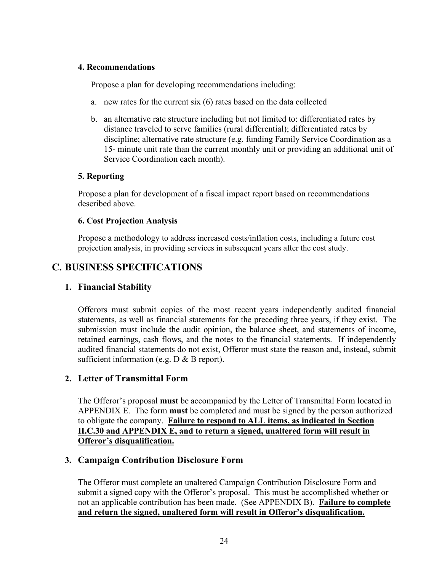#### **4. Recommendations**

Propose a plan for developing recommendations including:

- a. new rates for the current six (6) rates based on the data collected
- b. an alternative rate structure including but not limited to: differentiated rates by distance traveled to serve families (rural differential); differentiated rates by discipline; alternative rate structure (e.g. funding Family Service Coordination as a 15- minute unit rate than the current monthly unit or providing an additional unit of Service Coordination each month).

#### **5. Reporting**

Propose a plan for development of a fiscal impact report based on recommendations described above.

#### **6. Cost Projection Analysis**

Propose a methodology to address increased costs/inflation costs, including a future cost projection analysis, in providing services in subsequent years after the cost study.

### <span id="page-26-0"></span>**C. BUSINESS SPECIFICATIONS**

#### **1. Financial Stability**

Offerors must submit copies of the most recent years independently audited financial statements, as well as financial statements for the preceding three years, if they exist. The submission must include the audit opinion, the balance sheet, and statements of income, retained earnings, cash flows, and the notes to the financial statements. If independently audited financial statements do not exist, Offeror must state the reason and, instead, submit sufficient information (e.g. D & B report).

#### **2. Letter of Transmittal Form**

The Offeror's proposal **must** be accompanied by the Letter of Transmittal Form located in APPENDIX E. The form **must** be completed and must be signed by the person authorized to obligate the company. **Failure to respond to ALL items, as indicated in Section II.C.30 and APPENDIX E, and to return a signed, unaltered form will result in Offeror's disqualification.**

#### **3. Campaign Contribution Disclosure Form**

The Offeror must complete an unaltered Campaign Contribution Disclosure Form and submit a signed copy with the Offeror's proposal. This must be accomplished whether or not an applicable contribution has been made. (See APPENDIX B). **Failure to complete and return the signed, unaltered form will result in Offeror's disqualification.**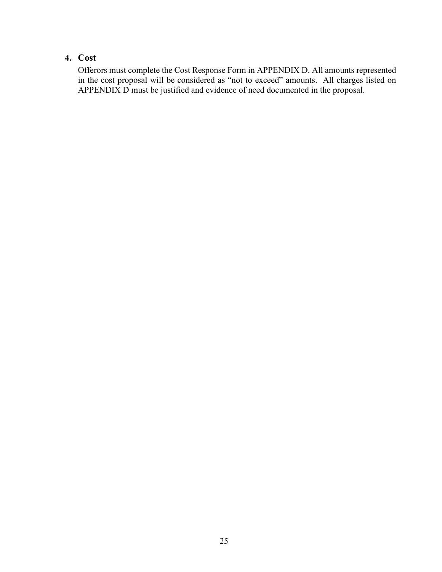### **4. Cost**

Offerors must complete the Cost Response Form in APPENDIX D. All amounts represented in the cost proposal will be considered as "not to exceed" amounts. All charges listed on APPENDIX D must be justified and evidence of need documented in the proposal.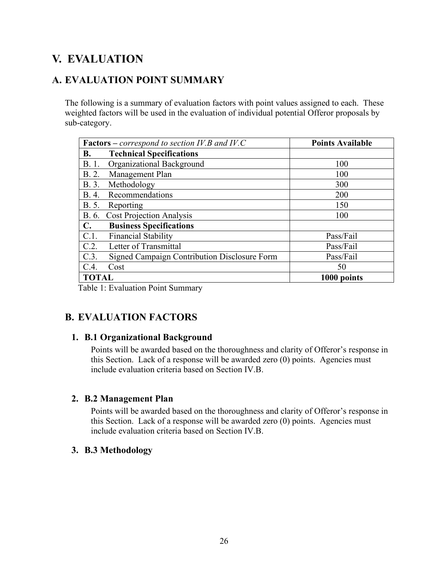# <span id="page-28-0"></span>**V. EVALUATION**

# <span id="page-28-1"></span>**A. EVALUATION POINT SUMMARY**

The following is a summary of evaluation factors with point values assigned to each. These weighted factors will be used in the evaluation of individual potential Offeror proposals by sub-category.

| <b>Factors</b> – <i>correspond to section IV.B and IV.C</i> |                                              | <b>Points Available</b> |
|-------------------------------------------------------------|----------------------------------------------|-------------------------|
| <b>B.</b>                                                   | <b>Technical Specifications</b>              |                         |
| B. 1.                                                       | Organizational Background                    | 100                     |
| B. 2.                                                       | Management Plan                              | 100                     |
| B. 3.                                                       | Methodology                                  | 300                     |
| B. 4.                                                       | Recommendations                              | 200                     |
| B. 5.                                                       | Reporting                                    | 150                     |
|                                                             | B. 6. Cost Projection Analysis               | 100                     |
| $\mathbf{C}$ .                                              | <b>Business Specifications</b>               |                         |
| C.1.                                                        | <b>Financial Stability</b>                   | Pass/Fail               |
| C.2.                                                        | Letter of Transmittal                        | Pass/Fail               |
| C.3.                                                        | Signed Campaign Contribution Disclosure Form | Pass/Fail               |
| C.4.                                                        | Cost                                         | 50                      |
| <b>TOTAL</b>                                                |                                              | 1000 points             |

Table 1: Evaluation Point Summary

# <span id="page-28-2"></span>**B. EVALUATION FACTORS**

#### **1. B.1 Organizational Background**

Points will be awarded based on the thoroughness and clarity of Offeror's response in this Section. Lack of a response will be awarded zero (0) points. Agencies must include evaluation criteria based on Section IV.B.

#### **2. B.2 Management Plan**

Points will be awarded based on the thoroughness and clarity of Offeror's response in this Section. Lack of a response will be awarded zero (0) points. Agencies must include evaluation criteria based on Section IV.B.

#### **3. B.3 Methodology**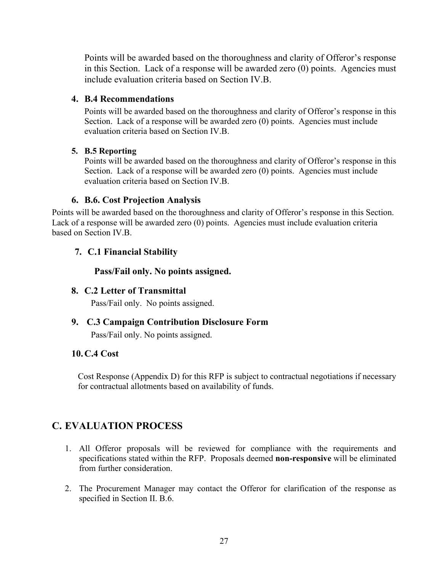Points will be awarded based on the thoroughness and clarity of Offeror's response in this Section. Lack of a response will be awarded zero (0) points. Agencies must include evaluation criteria based on Section IV.B.

#### **4. B.4 Recommendations**

Points will be awarded based on the thoroughness and clarity of Offeror's response in this Section. Lack of a response will be awarded zero (0) points. Agencies must include evaluation criteria based on Section IV.B.

#### **5. B.5 Reporting**

Points will be awarded based on the thoroughness and clarity of Offeror's response in this Section. Lack of a response will be awarded zero (0) points. Agencies must include evaluation criteria based on Section IV.B.

#### **6. B.6. Cost Projection Analysis**

Points will be awarded based on the thoroughness and clarity of Offeror's response in this Section. Lack of a response will be awarded zero (0) points. Agencies must include evaluation criteria based on Section IV.B.

#### **7. C.1 Financial Stability**

#### **Pass/Fail only. No points assigned.**

#### **8. C.2 Letter of Transmittal**

Pass/Fail only. No points assigned.

#### **9. C.3 Campaign Contribution Disclosure Form**

Pass/Fail only. No points assigned.

#### **10.C.4 Cost**

Cost Response (Appendix D) for this RFP is subject to contractual negotiations if necessary for contractual allotments based on availability of funds.

### <span id="page-29-0"></span>**C. EVALUATION PROCESS**

- 1. All Offeror proposals will be reviewed for compliance with the requirements and specifications stated within the RFP. Proposals deemed **non-responsive** will be eliminated from further consideration.
- 2. The Procurement Manager may contact the Offeror for clarification of the response as specified in Section II. B.6.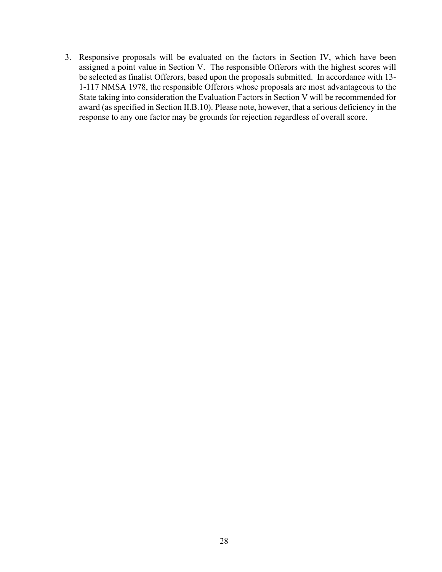3. Responsive proposals will be evaluated on the factors in Section IV, which have been assigned a point value in Section V. The responsible Offerors with the highest scores will be selected as finalist Offerors, based upon the proposals submitted. In accordance with 13- 1-117 NMSA 1978, the responsible Offerors whose proposals are most advantageous to the State taking into consideration the Evaluation Factors in Section V will be recommended for award (as specified in Section II.B.10). Please note, however, that a serious deficiency in the response to any one factor may be grounds for rejection regardless of overall score.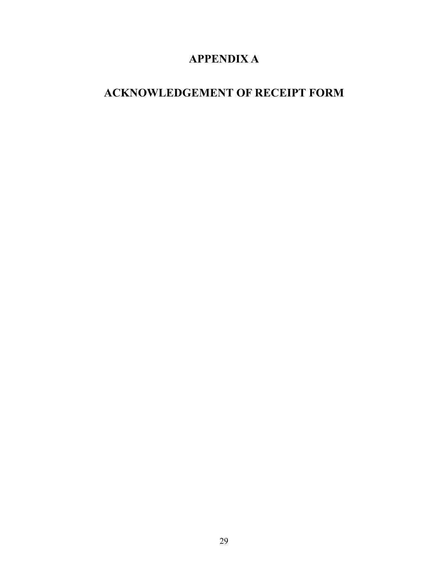# **APPENDIX A**

# <span id="page-31-1"></span><span id="page-31-0"></span>**ACKNOWLEDGEMENT OF RECEIPT FORM**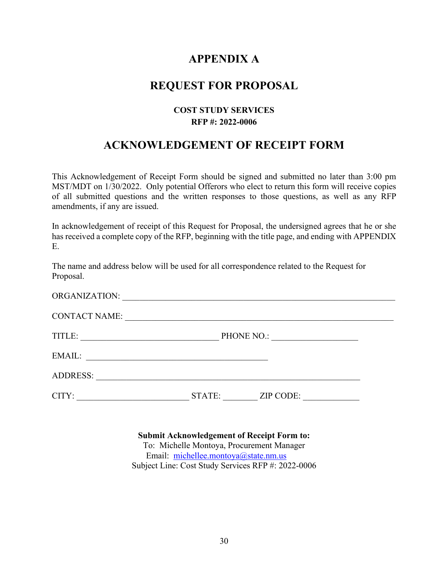# **APPENDIX A**

## **REQUEST FOR PROPOSAL**

#### **COST STUDY SERVICES RFP #: 2022-0006**

# **ACKNOWLEDGEMENT OF RECEIPT FORM**

This Acknowledgement of Receipt Form should be signed and submitted no later than 3:00 pm MST/MDT on 1/30/2022. Only potential Offerors who elect to return this form will receive copies of all submitted questions and the written responses to those questions, as well as any RFP amendments, if any are issued.

In acknowledgement of receipt of this Request for Proposal, the undersigned agrees that he or she has received a complete copy of the RFP, beginning with the title page, and ending with APPENDIX E.

The name and address below will be used for all correspondence related to the Request for Proposal.

| ORGANIZATION:        |                                                                                           |                                                                                          |  |
|----------------------|-------------------------------------------------------------------------------------------|------------------------------------------------------------------------------------------|--|
| <b>CONTACT NAME:</b> |                                                                                           |                                                                                          |  |
| TITLE:               |                                                                                           | PHONE NO.:<br>the control of the control of the control of the control of the control of |  |
| EMAIL:               | the control of the control of the control of the control of the control of the control of |                                                                                          |  |
| <b>ADDRESS:</b>      |                                                                                           |                                                                                          |  |
| CITY:                | STATE:                                                                                    | ZIP CODE:                                                                                |  |

#### **Submit Acknowledgement of Receipt Form to:**

To: Michelle Montoya, Procurement Manager Email: [michellee.montoya@state.nm.us](mailto:michellee.montoya@state.nm.us) Subject Line: Cost Study Services RFP #: 2022-0006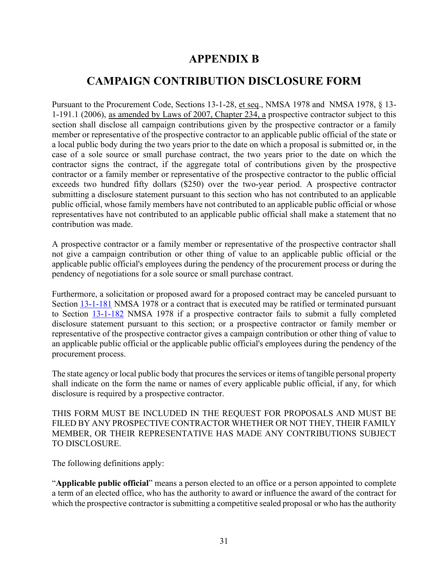# **APPENDIX B**

# <span id="page-33-0"></span>**CAMPAIGN CONTRIBUTION DISCLOSURE FORM**

<span id="page-33-1"></span>Pursuant to the Procurement Code, Sections 13-1-28, et seq., NMSA 1978 and NMSA 1978, § 13- 1-191.1 (2006), as amended by Laws of 2007, Chapter 234, a prospective contractor subject to this section shall disclose all campaign contributions given by the prospective contractor or a family member or representative of the prospective contractor to an applicable public official of the state or a local public body during the two years prior to the date on which a proposal is submitted or, in the case of a sole source or small purchase contract, the two years prior to the date on which the contractor signs the contract, if the aggregate total of contributions given by the prospective contractor or a family member or representative of the prospective contractor to the public official exceeds two hundred fifty dollars (\$250) over the two-year period. A prospective contractor submitting a disclosure statement pursuant to this section who has not contributed to an applicable public official, whose family members have not contributed to an applicable public official or whose representatives have not contributed to an applicable public official shall make a statement that no contribution was made.

A prospective contractor or a family member or representative of the prospective contractor shall not give a campaign contribution or other thing of value to an applicable public official or the applicable public official's employees during the pendency of the procurement process or during the pendency of negotiations for a sole source or small purchase contract.

Furthermore, a solicitation or proposed award for a proposed contract may be canceled pursuant to Section [13-1-181](http://mobile.nmonesource.com/nxt/gateway.dll?f=jumplink$jumplink_x=Advanced$jumplink_vpc=first$jumplink_xsl=querylink.xsl$jumplink_sel=title;path;content-type;home-title;item-bookmark$jumplink_d=%7bnmsa1978%7d$jumplink_q=%5bfield%20folio-destination-name:) NMSA 1978 or a contract that is executed may be ratified or terminated pursuant to Section [13-1-182](http://mobile.nmonesource.com/nxt/gateway.dll?f=jumplink$jumplink_x=Advanced$jumplink_vpc=first$jumplink_xsl=querylink.xsl$jumplink_sel=title;path;content-type;home-title;item-bookmark$jumplink_d=%7bnmsa1978%7d$jumplink_q=%5bfield%20folio-destination-name:) NMSA 1978 if a prospective contractor fails to submit a fully completed disclosure statement pursuant to this section; or a prospective contractor or family member or representative of the prospective contractor gives a campaign contribution or other thing of value to an applicable public official or the applicable public official's employees during the pendency of the procurement process.

The state agency or local public body that procures the services or items of tangible personal property shall indicate on the form the name or names of every applicable public official, if any, for which disclosure is required by a prospective contractor.

THIS FORM MUST BE INCLUDED IN THE REQUEST FOR PROPOSALS AND MUST BE FILED BY ANY PROSPECTIVE CONTRACTOR WHETHER OR NOT THEY, THEIR FAMILY MEMBER, OR THEIR REPRESENTATIVE HAS MADE ANY CONTRIBUTIONS SUBJECT TO DISCLOSURE.

The following definitions apply:

"**Applicable public official**" means a person elected to an office or a person appointed to complete a term of an elected office, who has the authority to award or influence the award of the contract for which the prospective contractor is submitting a competitive sealed proposal or who has the authority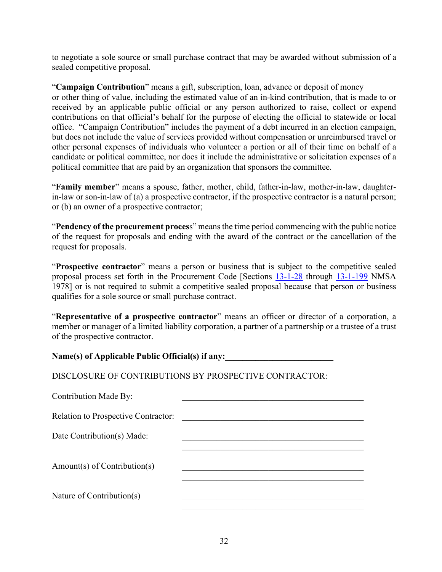to negotiate a sole source or small purchase contract that may be awarded without submission of a sealed competitive proposal.

"**Campaign Contribution**" means a gift, subscription, loan, advance or deposit of money or other thing of value, including the estimated value of an in-kind contribution, that is made to or received by an applicable public official or any person authorized to raise, collect or expend contributions on that official's behalf for the purpose of electing the official to statewide or local office. "Campaign Contribution" includes the payment of a debt incurred in an election campaign, but does not include the value of services provided without compensation or unreimbursed travel or other personal expenses of individuals who volunteer a portion or all of their time on behalf of a candidate or political committee, nor does it include the administrative or solicitation expenses of a political committee that are paid by an organization that sponsors the committee.

"**Family member**" means a spouse, father, mother, child, father-in-law, mother-in-law, daughterin-law or son-in-law of (a) a prospective contractor, if the prospective contractor is a natural person; or (b) an owner of a prospective contractor;

"**Pendency of the procurement proces**s" means the time period commencing with the public notice of the request for proposals and ending with the award of the contract or the cancellation of the request for proposals.

"**Prospective contractor**" means a person or business that is subject to the competitive sealed proposal process set forth in the Procurement Code [Sections [13-1-28](http://mobile.nmonesource.com/nxt/gateway.dll?f=jumplink$jumplink_x=Advanced$jumplink_vpc=first$jumplink_xsl=querylink.xsl$jumplink_sel=title;path;content-type;home-title;item-bookmark$jumplink_d=%7bnmsa1978%7d$jumplink_q=%5bfield%20folio-destination-name:) through [13-1-199](http://mobile.nmonesource.com/nxt/gateway.dll?f=jumplink$jumplink_x=Advanced$jumplink_vpc=first$jumplink_xsl=querylink.xsl$jumplink_sel=title;path;content-type;home-title;item-bookmark$jumplink_d=%7bnmsa1978%7d$jumplink_q=%5bfield%20folio-destination-name:) NMSA 1978] or is not required to submit a competitive sealed proposal because that person or business qualifies for a sole source or small purchase contract.

"**Representative of a prospective contractor**" means an officer or director of a corporation, a member or manager of a limited liability corporation, a partner of a partnership or a trustee of a trust of the prospective contractor.

Name(s) of Applicable Public Official(s) if any:

DISCLOSURE OF CONTRIBUTIONS BY PROSPECTIVE CONTRACTOR:

Contribution Made By:

Relation to Prospective Contractor:

Date Contribution(s) Made:

Amount(s) of Contribution(s)

Nature of Contribution $(s)$ 

 $\mathcal{L}_\mathcal{L}$  , which is a set of the set of the set of the set of the set of the set of the set of the set of the set of the set of the set of the set of the set of the set of the set of the set of the set of the set of

 $\mathcal{L}_\mathcal{L}$  , which is a set of the set of the set of the set of the set of the set of the set of the set of the set of the set of the set of the set of the set of the set of the set of the set of the set of the set of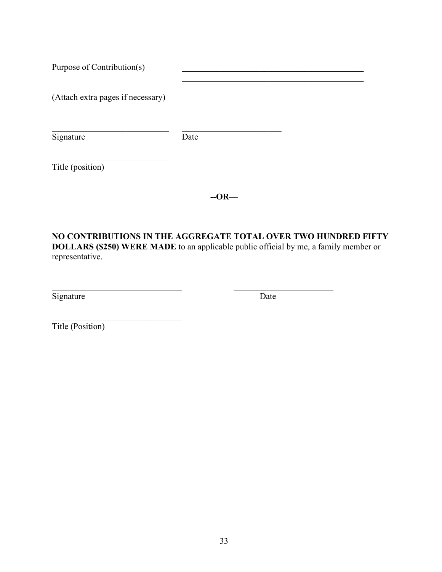| Purpose of Contribution(s)        |      |  |
|-----------------------------------|------|--|
| (Attach extra pages if necessary) |      |  |
| Signature                         | Date |  |
| Title (position)                  |      |  |

**--OR—**

**NO CONTRIBUTIONS IN THE AGGREGATE TOTAL OVER TWO HUNDRED FIFTY DOLLARS (\$250) WERE MADE** to an applicable public official by me, a family member or representative.

 $\mathcal{L}_\text{max}$  , and the contribution of the contribution of  $\mathcal{L}_\text{max}$  , and the contribution of  $\mathcal{L}_\text{max}$ 

Signature Date Date

Title (Position)

 $\mathcal{L}_\text{max}$  , where  $\mathcal{L}_\text{max}$  and  $\mathcal{L}_\text{max}$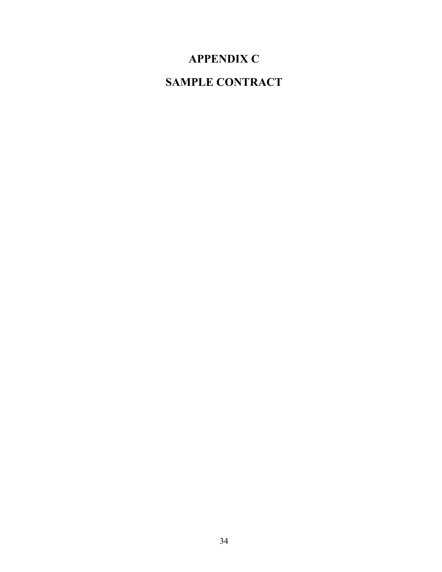# **APPENDIX C**

# <span id="page-36-1"></span><span id="page-36-0"></span>**SAMPLE CONTRACT**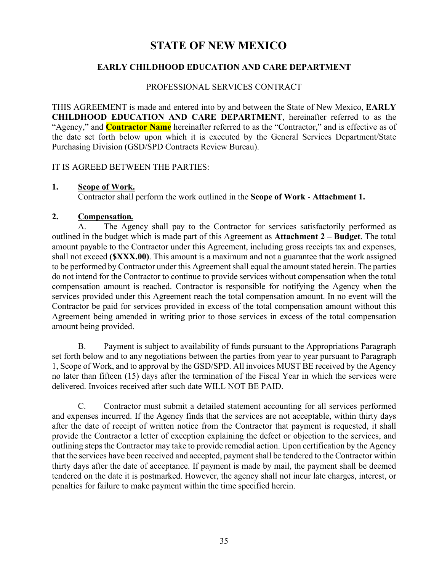# **STATE OF NEW MEXICO**

#### **EARLY CHILDHOOD EDUCATION AND CARE DEPARTMENT**

#### PROFESSIONAL SERVICES CONTRACT

THIS AGREEMENT is made and entered into by and between the State of New Mexico, **EARLY CHILDHOOD EDUCATION AND CARE DEPARTMENT**, hereinafter referred to as the "Agency," and **Contractor Name** hereinafter referred to as the "Contractor," and is effective as of the date set forth below upon which it is executed by the General Services Department/State Purchasing Division (GSD/SPD Contracts Review Bureau).

#### IT IS AGREED BETWEEN THE PARTIES:

#### **1. Scope of Work.**

Contractor shall perform the work outlined in the **Scope of Work** - **Attachment 1.**

#### **2. Compensation***.*

A. The Agency shall pay to the Contractor for services satisfactorily performed as outlined in the budget which is made part of this Agreement as **Attachment 2 – Budget**. The total amount payable to the Contractor under this Agreement, including gross receipts tax and expenses, shall not exceed **(\$XXX.00)**. This amount is a maximum and not a guarantee that the work assigned to be performed by Contractor under this Agreement shall equal the amount stated herein. The parties do not intend for the Contractor to continue to provide services without compensation when the total compensation amount is reached. Contractor is responsible for notifying the Agency when the services provided under this Agreement reach the total compensation amount. In no event will the Contractor be paid for services provided in excess of the total compensation amount without this Agreement being amended in writing prior to those services in excess of the total compensation amount being provided.

B. Payment is subject to availability of funds pursuant to the Appropriations Paragraph set forth below and to any negotiations between the parties from year to year pursuant to Paragraph 1, Scope of Work, and to approval by the GSD/SPD. All invoices MUST BE received by the Agency no later than fifteen (15) days after the termination of the Fiscal Year in which the services were delivered. Invoices received after such date WILL NOT BE PAID.

C. Contractor must submit a detailed statement accounting for all services performed and expenses incurred. If the Agency finds that the services are not acceptable, within thirty days after the date of receipt of written notice from the Contractor that payment is requested, it shall provide the Contractor a letter of exception explaining the defect or objection to the services, and outlining steps the Contractor may take to provide remedial action. Upon certification by the Agency that the services have been received and accepted, payment shall be tendered to the Contractor within thirty days after the date of acceptance. If payment is made by mail, the payment shall be deemed tendered on the date it is postmarked. However, the agency shall not incur late charges, interest, or penalties for failure to make payment within the time specified herein.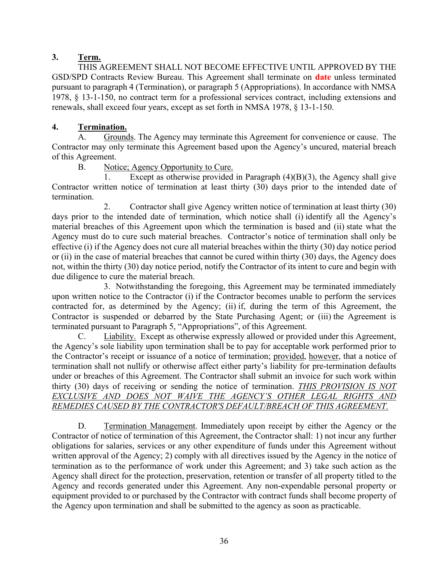#### **3. Term.**

THIS AGREEMENT SHALL NOT BECOME EFFECTIVE UNTIL APPROVED BY THE GSD/SPD Contracts Review Bureau. This Agreement shall terminate on **date** unless terminated pursuant to paragraph 4 (Termination), or paragraph 5 (Appropriations). In accordance with NMSA 1978, § 13-1-150, no contract term for a professional services contract, including extensions and renewals, shall exceed four years, except as set forth in NMSA 1978, § 13-1-150.

#### **4. Termination.**

A. Grounds. The Agency may terminate this Agreement for convenience or cause. The Contractor may only terminate this Agreement based upon the Agency's uncured, material breach of this Agreement.

#### B. Notice; Agency Opportunity to Cure.

1. Except as otherwise provided in Paragraph (4)(B)(3), the Agency shall give Contractor written notice of termination at least thirty (30) days prior to the intended date of termination.

2. Contractor shall give Agency written notice of termination at least thirty (30) days prior to the intended date of termination, which notice shall (i) identify all the Agency's material breaches of this Agreement upon which the termination is based and (ii) state what the Agency must do to cure such material breaches. Contractor's notice of termination shall only be effective (i) if the Agency does not cure all material breaches within the thirty (30) day notice period or (ii) in the case of material breaches that cannot be cured within thirty (30) days, the Agency does not, within the thirty (30) day notice period, notify the Contractor of its intent to cure and begin with due diligence to cure the material breach.

3. Notwithstanding the foregoing, this Agreement may be terminated immediately upon written notice to the Contractor (i) if the Contractor becomes unable to perform the services contracted for, as determined by the Agency; (ii) if, during the term of this Agreement, the Contractor is suspended or debarred by the State Purchasing Agent; or (iii) the Agreement is terminated pursuant to Paragraph 5, "Appropriations", of this Agreement.

C. Liability. Except as otherwise expressly allowed or provided under this Agreement, the Agency's sole liability upon termination shall be to pay for acceptable work performed prior to the Contractor's receipt or issuance of a notice of termination; provided, however, that a notice of termination shall not nullify or otherwise affect either party's liability for pre-termination defaults under or breaches of this Agreement. The Contractor shall submit an invoice for such work within thirty (30) days of receiving or sending the notice of termination. *THIS PROVISION IS NOT EXCLUSIVE AND DOES NOT WAIVE THE AGENCY'S OTHER LEGAL RIGHTS AND REMEDIES CAUSED BY THE CONTRACTOR'S DEFAULT/BREACH OF THIS AGREEMENT.*

D. Termination Management. Immediately upon receipt by either the Agency or the Contractor of notice of termination of this Agreement, the Contractor shall: 1) not incur any further obligations for salaries, services or any other expenditure of funds under this Agreement without written approval of the Agency; 2) comply with all directives issued by the Agency in the notice of termination as to the performance of work under this Agreement; and 3) take such action as the Agency shall direct for the protection, preservation, retention or transfer of all property titled to the Agency and records generated under this Agreement. Any non-expendable personal property or equipment provided to or purchased by the Contractor with contract funds shall become property of the Agency upon termination and shall be submitted to the agency as soon as practicable.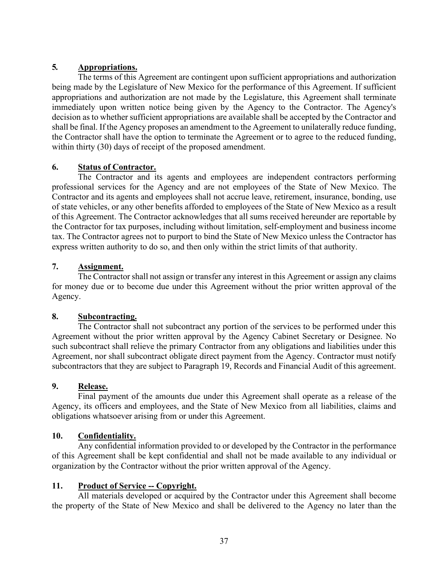#### **5***.* **Appropriations.**

The terms of this Agreement are contingent upon sufficient appropriations and authorization being made by the Legislature of New Mexico for the performance of this Agreement. If sufficient appropriations and authorization are not made by the Legislature, this Agreement shall terminate immediately upon written notice being given by the Agency to the Contractor. The Agency's decision as to whether sufficient appropriations are available shall be accepted by the Contractor and shall be final. If the Agency proposes an amendment to the Agreement to unilaterally reduce funding, the Contractor shall have the option to terminate the Agreement or to agree to the reduced funding, within thirty (30) days of receipt of the proposed amendment.

#### **6. Status of Contractor.**

The Contractor and its agents and employees are independent contractors performing professional services for the Agency and are not employees of the State of New Mexico. The Contractor and its agents and employees shall not accrue leave, retirement, insurance, bonding, use of state vehicles, or any other benefits afforded to employees of the State of New Mexico as a result of this Agreement. The Contractor acknowledges that all sums received hereunder are reportable by the Contractor for tax purposes, including without limitation, self-employment and business income tax. The Contractor agrees not to purport to bind the State of New Mexico unless the Contractor has express written authority to do so, and then only within the strict limits of that authority.

#### **7. Assignment.**

The Contractor shall not assign or transfer any interest in this Agreement or assign any claims for money due or to become due under this Agreement without the prior written approval of the Agency.

#### **8. Subcontracting.**

The Contractor shall not subcontract any portion of the services to be performed under this Agreement without the prior written approval by the Agency Cabinet Secretary or Designee. No such subcontract shall relieve the primary Contractor from any obligations and liabilities under this Agreement, nor shall subcontract obligate direct payment from the Agency. Contractor must notify subcontractors that they are subject to Paragraph 19, Records and Financial Audit of this agreement.

#### **9. Release.**

Final payment of the amounts due under this Agreement shall operate as a release of the Agency, its officers and employees, and the State of New Mexico from all liabilities, claims and obligations whatsoever arising from or under this Agreement.

#### **10. Confidentiality.**

Any confidential information provided to or developed by the Contractor in the performance of this Agreement shall be kept confidential and shall not be made available to any individual or organization by the Contractor without the prior written approval of the Agency.

#### **11. Product of Service -- Copyright.**

All materials developed or acquired by the Contractor under this Agreement shall become the property of the State of New Mexico and shall be delivered to the Agency no later than the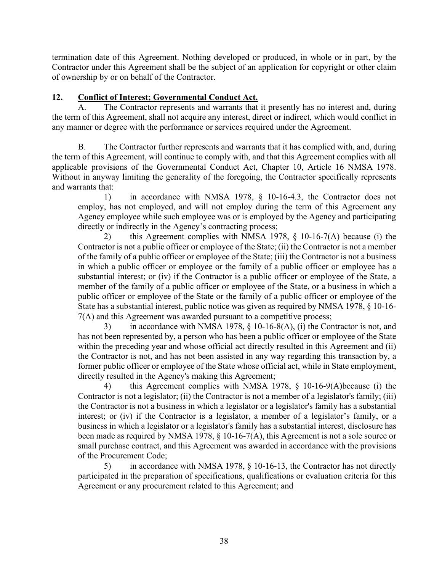termination date of this Agreement. Nothing developed or produced, in whole or in part, by the Contractor under this Agreement shall be the subject of an application for copyright or other claim of ownership by or on behalf of the Contractor.

#### **12. Conflict of Interest; Governmental Conduct Act.**

A. The Contractor represents and warrants that it presently has no interest and, during the term of this Agreement, shall not acquire any interest, direct or indirect, which would conflict in any manner or degree with the performance or services required under the Agreement.

B. The Contractor further represents and warrants that it has complied with, and, during the term of this Agreement, will continue to comply with, and that this Agreement complies with all applicable provisions of the Governmental Conduct Act, Chapter 10, Article 16 NMSA 1978. Without in anyway limiting the generality of the foregoing, the Contractor specifically represents and warrants that:

1) in accordance with NMSA 1978, § 10-16-4.3, the Contractor does not employ, has not employed, and will not employ during the term of this Agreement any Agency employee while such employee was or is employed by the Agency and participating directly or indirectly in the Agency's contracting process;

2) this Agreement complies with NMSA 1978, § 10-16-7(A) because (i) the Contractor is not a public officer or employee of the State; (ii) the Contractor is not a member of the family of a public officer or employee of the State; (iii) the Contractor is not a business in which a public officer or employee or the family of a public officer or employee has a substantial interest; or (iv) if the Contractor is a public officer or employee of the State, a member of the family of a public officer or employee of the State, or a business in which a public officer or employee of the State or the family of a public officer or employee of the State has a substantial interest, public notice was given as required by NMSA 1978, § 10-16- 7(A) and this Agreement was awarded pursuant to a competitive process;

3) in accordance with NMSA 1978, § 10-16-8(A), (i) the Contractor is not, and has not been represented by, a person who has been a public officer or employee of the State within the preceding year and whose official act directly resulted in this Agreement and (ii) the Contractor is not, and has not been assisted in any way regarding this transaction by, a former public officer or employee of the State whose official act, while in State employment, directly resulted in the Agency's making this Agreement;

4) this Agreement complies with NMSA 1978, § 10-16-9(A)because (i) the Contractor is not a legislator; (ii) the Contractor is not a member of a legislator's family; (iii) the Contractor is not a business in which a legislator or a legislator's family has a substantial interest; or (iv) if the Contractor is a legislator, a member of a legislator's family, or a business in which a legislator or a legislator's family has a substantial interest, disclosure has been made as required by NMSA 1978,  $\S$  10-16-7(A), this Agreement is not a sole source or small purchase contract, and this Agreement was awarded in accordance with the provisions of the Procurement Code;

5) in accordance with NMSA 1978, § 10-16-13, the Contractor has not directly participated in the preparation of specifications, qualifications or evaluation criteria for this Agreement or any procurement related to this Agreement; and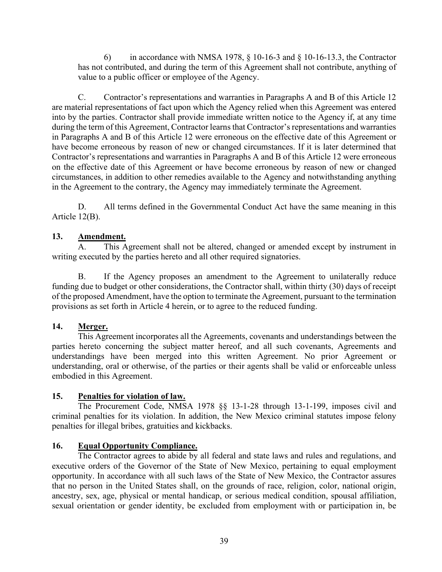6) in accordance with NMSA 1978,  $\S$  10-16-3 and  $\S$  10-16-13.3, the Contractor has not contributed, and during the term of this Agreement shall not contribute, anything of value to a public officer or employee of the Agency.

C. Contractor's representations and warranties in Paragraphs A and B of this Article 12 are material representations of fact upon which the Agency relied when this Agreement was entered into by the parties. Contractor shall provide immediate written notice to the Agency if, at any time during the term of this Agreement, Contractor learns that Contractor's representations and warranties in Paragraphs A and B of this Article 12 were erroneous on the effective date of this Agreement or have become erroneous by reason of new or changed circumstances. If it is later determined that Contractor's representations and warranties in Paragraphs A and B of this Article 12 were erroneous on the effective date of this Agreement or have become erroneous by reason of new or changed circumstances, in addition to other remedies available to the Agency and notwithstanding anything in the Agreement to the contrary, the Agency may immediately terminate the Agreement.

D. All terms defined in the Governmental Conduct Act have the same meaning in this Article 12(B).

#### **13. Amendment.**

A. This Agreement shall not be altered, changed or amended except by instrument in writing executed by the parties hereto and all other required signatories.

B. If the Agency proposes an amendment to the Agreement to unilaterally reduce funding due to budget or other considerations, the Contractor shall, within thirty (30) days of receipt of the proposed Amendment, have the option to terminate the Agreement, pursuant to the termination provisions as set forth in Article 4 herein, or to agree to the reduced funding.

#### **14. Merger.**

This Agreement incorporates all the Agreements, covenants and understandings between the parties hereto concerning the subject matter hereof, and all such covenants, Agreements and understandings have been merged into this written Agreement. No prior Agreement or understanding, oral or otherwise, of the parties or their agents shall be valid or enforceable unless embodied in this Agreement.

#### **15. Penalties for violation of law.**

The Procurement Code, NMSA 1978 §§ 13-1-28 through 13-1-199, imposes civil and criminal penalties for its violation. In addition, the New Mexico criminal statutes impose felony penalties for illegal bribes, gratuities and kickbacks.

#### **16. Equal Opportunity Compliance.**

The Contractor agrees to abide by all federal and state laws and rules and regulations, and executive orders of the Governor of the State of New Mexico, pertaining to equal employment opportunity. In accordance with all such laws of the State of New Mexico, the Contractor assures that no person in the United States shall, on the grounds of race, religion, color, national origin, ancestry, sex, age, physical or mental handicap, or serious medical condition, spousal affiliation, sexual orientation or gender identity, be excluded from employment with or participation in, be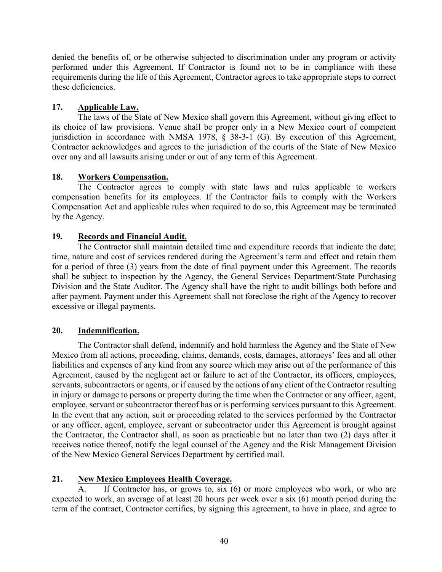denied the benefits of, or be otherwise subjected to discrimination under any program or activity performed under this Agreement. If Contractor is found not to be in compliance with these requirements during the life of this Agreement, Contractor agrees to take appropriate steps to correct these deficiencies.

#### **17. Applicable Law.**

The laws of the State of New Mexico shall govern this Agreement, without giving effect to its choice of law provisions. Venue shall be proper only in a New Mexico court of competent jurisdiction in accordance with NMSA 1978, § 38-3-1 (G). By execution of this Agreement, Contractor acknowledges and agrees to the jurisdiction of the courts of the State of New Mexico over any and all lawsuits arising under or out of any term of this Agreement.

#### **18. Workers Compensation.**

The Contractor agrees to comply with state laws and rules applicable to workers compensation benefits for its employees. If the Contractor fails to comply with the Workers Compensation Act and applicable rules when required to do so, this Agreement may be terminated by the Agency.

#### **19***.* **Records and Financial Audit.**

The Contractor shall maintain detailed time and expenditure records that indicate the date; time, nature and cost of services rendered during the Agreement's term and effect and retain them for a period of three (3) years from the date of final payment under this Agreement. The records shall be subject to inspection by the Agency, the General Services Department/State Purchasing Division and the State Auditor. The Agency shall have the right to audit billings both before and after payment. Payment under this Agreement shall not foreclose the right of the Agency to recover excessive or illegal payments.

#### **20. Indemnification.**

The Contractor shall defend, indemnify and hold harmless the Agency and the State of New Mexico from all actions, proceeding, claims, demands, costs, damages, attorneys' fees and all other liabilities and expenses of any kind from any source which may arise out of the performance of this Agreement, caused by the negligent act or failure to act of the Contractor, its officers, employees, servants, subcontractors or agents, or if caused by the actions of any client of the Contractor resulting in injury or damage to persons or property during the time when the Contractor or any officer, agent, employee, servant or subcontractor thereof has or is performing services pursuant to this Agreement. In the event that any action, suit or proceeding related to the services performed by the Contractor or any officer, agent, employee, servant or subcontractor under this Agreement is brought against the Contractor, the Contractor shall, as soon as practicable but no later than two (2) days after it receives notice thereof, notify the legal counsel of the Agency and the Risk Management Division of the New Mexico General Services Department by certified mail.

#### **21. New Mexico Employees Health Coverage.**

A. If Contractor has, or grows to, six (6) or more employees who work, or who are expected to work, an average of at least 20 hours per week over a six (6) month period during the term of the contract, Contractor certifies, by signing this agreement, to have in place, and agree to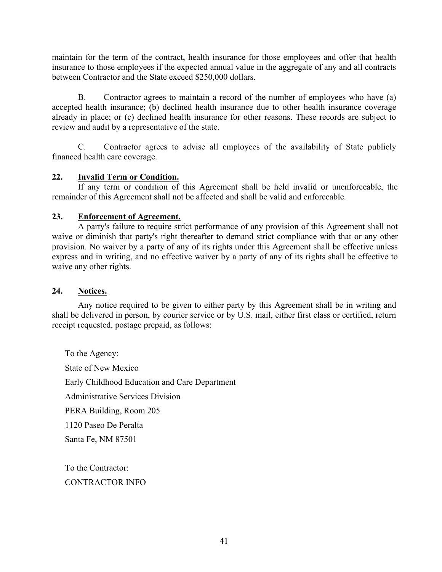maintain for the term of the contract, health insurance for those employees and offer that health insurance to those employees if the expected annual value in the aggregate of any and all contracts between Contractor and the State exceed \$250,000 dollars.

B. Contractor agrees to maintain a record of the number of employees who have (a) accepted health insurance; (b) declined health insurance due to other health insurance coverage already in place; or (c) declined health insurance for other reasons. These records are subject to review and audit by a representative of the state.

C. Contractor agrees to advise all employees of the availability of State publicly financed health care coverage.

#### **22. Invalid Term or Condition.**

If any term or condition of this Agreement shall be held invalid or unenforceable, the remainder of this Agreement shall not be affected and shall be valid and enforceable.

#### **23. Enforcement of Agreement.**

A party's failure to require strict performance of any provision of this Agreement shall not waive or diminish that party's right thereafter to demand strict compliance with that or any other provision. No waiver by a party of any of its rights under this Agreement shall be effective unless express and in writing, and no effective waiver by a party of any of its rights shall be effective to waive any other rights.

#### **24. Notices.**

Any notice required to be given to either party by this Agreement shall be in writing and shall be delivered in person, by courier service or by U.S. mail, either first class or certified, return receipt requested, postage prepaid, as follows:

To the Agency: State of New Mexico Early Childhood Education and Care Department Administrative Services Division PERA Building, Room 205 1120 Paseo De Peralta Santa Fe, NM 87501

To the Contractor: CONTRACTOR INFO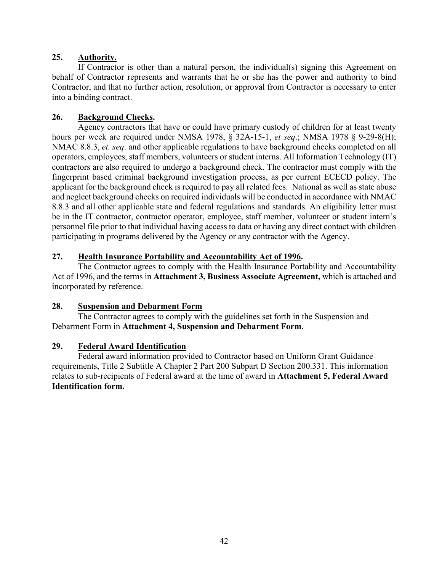#### **25. Authority.**

If Contractor is other than a natural person, the individual(s) signing this Agreement on behalf of Contractor represents and warrants that he or she has the power and authority to bind Contractor, and that no further action, resolution, or approval from Contractor is necessary to enter into a binding contract.

#### **26. Background Checks.**

Agency contractors that have or could have primary custody of children for at least twenty hours per week are required under NMSA 1978, § 32A-15-1, *et seq*.; NMSA 1978 § 9-29-8(H); NMAC 8.8.3, *et. seq*. and other applicable regulations to have background checks completed on all operators, employees, staff members, volunteers or student interns. All Information Technology (IT) contractors are also required to undergo a background check. The contractor must comply with the fingerprint based criminal background investigation process, as per current ECECD policy. The applicant for the background check is required to pay all related fees. National as well as state abuse and neglect background checks on required individuals will be conducted in accordance with NMAC 8.8.3 and all other applicable state and federal regulations and standards. An eligibility letter must be in the IT contractor, contractor operator, employee, staff member, volunteer or student intern's personnel file prior to that individual having access to data or having any direct contact with children participating in programs delivered by the Agency or any contractor with the Agency.

#### **27. Health Insurance Portability and Accountability Act of 1996.**

The Contractor agrees to comply with the Health Insurance Portability and Accountability Act of 1996, and the terms in **Attachment 3, Business Associate Agreement,** which is attached and incorporated by reference.

#### **28. Suspension and Debarment Form**

The Contractor agrees to comply with the guidelines set forth in the Suspension and Debarment Form in **Attachment 4, Suspension and Debarment Form**.

#### **29. Federal Award Identification**

Federal award information provided to Contractor based on Uniform Grant Guidance requirements, Title 2 Subtitle A Chapter 2 Part 200 Subpart D Section 200.331. This information relates to sub-recipients of Federal award at the time of award in **Attachment 5, Federal Award Identification form.**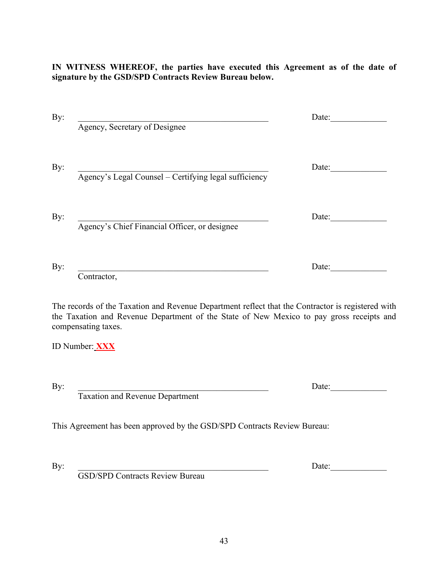**IN WITNESS WHEREOF, the parties have executed this Agreement as of the date of signature by the GSD/SPD Contracts Review Bureau below.**

| Agency, Secretary of Designee                         | Date: |
|-------------------------------------------------------|-------|
| Agency's Legal Counsel - Certifying legal sufficiency | Date: |
| Agency's Chief Financial Officer, or designee         | Date: |
| Contractor,                                           | Date: |

The records of the Taxation and Revenue Department reflect that the Contractor is registered with the Taxation and Revenue Department of the State of New Mexico to pay gross receipts and compensating taxes.

ID Number: **XXX**

By:  $\Box$ 

Taxation and Revenue Department

This Agreement has been approved by the GSD/SPD Contracts Review Bureau:

By: Letting the contract of the contract of the contract of the contract of the contract of the contract of the contract of the contract of the contract of the contract of the contract of the contract of the contract of th

GSD/SPD Contracts Review Bureau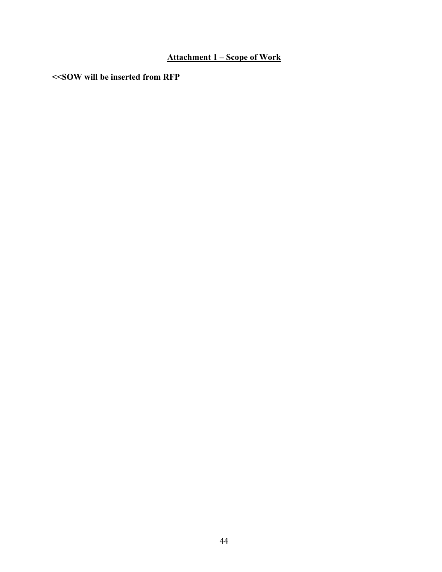### **Attachment 1 – Scope of Work**

**<<SOW will be inserted from RFP**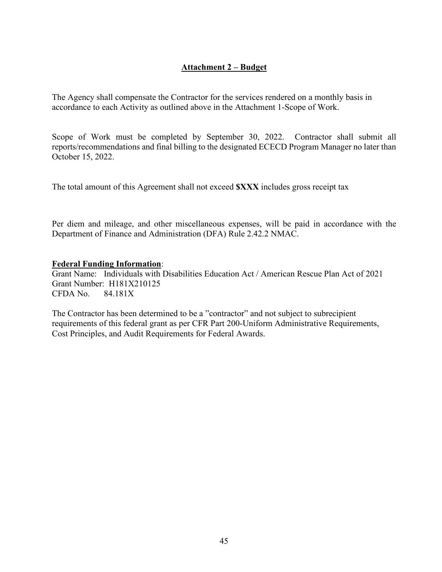#### **Attachment 2 – Budget**

The Agency shall compensate the Contractor for the services rendered on a monthly basis in accordance to each Activity as outlined above in the Attachment 1-Scope of Work.

Scope of Work must be completed by September 30, 2022. Contractor shall submit all reports/recommendations and final billing to the designated ECECD Program Manager no later than October 15, 2022.

The total amount of this Agreement shall not exceed **\$XXX** includes gross receipt tax

Per diem and mileage, and other miscellaneous expenses, will be paid in accordance with the Department of Finance and Administration (DFA) Rule 2.42.2 NMAC.

#### **Federal Funding Information**:

Grant Name: Individuals with Disabilities Education Act / American Rescue Plan Act of 2021 Grant Number: H181X210125 CFDA No. 84.181X

The Contractor has been determined to be a "contractor" and not subject to subrecipient requirements of this federal grant as per CFR Part 200-Uniform Administrative Requirements, Cost Principles, and Audit Requirements for Federal Awards.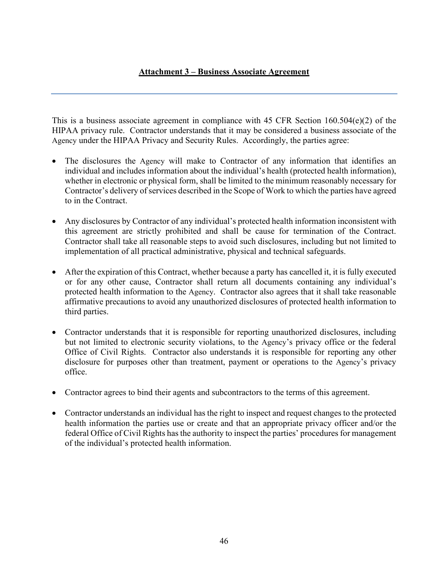#### **Attachment 3 – Business Associate Agreement**

This is a business associate agreement in compliance with 45 CFR Section  $160.504(e)(2)$  of the HIPAA privacy rule. Contractor understands that it may be considered a business associate of the Agency under the HIPAA Privacy and Security Rules. Accordingly, the parties agree:

- The disclosures the Agency will make to Contractor of any information that identifies an individual and includes information about the individual's health (protected health information), whether in electronic or physical form, shall be limited to the minimum reasonably necessary for Contractor's delivery of services described in the Scope of Work to which the parties have agreed to in the Contract.
- Any disclosures by Contractor of any individual's protected health information inconsistent with this agreement are strictly prohibited and shall be cause for termination of the Contract. Contractor shall take all reasonable steps to avoid such disclosures, including but not limited to implementation of all practical administrative, physical and technical safeguards.
- After the expiration of this Contract, whether because a party has cancelled it, it is fully executed or for any other cause, Contractor shall return all documents containing any individual's protected health information to the Agency. Contractor also agrees that it shall take reasonable affirmative precautions to avoid any unauthorized disclosures of protected health information to third parties.
- Contractor understands that it is responsible for reporting unauthorized disclosures, including but not limited to electronic security violations, to the Agency's privacy office or the federal Office of Civil Rights. Contractor also understands it is responsible for reporting any other disclosure for purposes other than treatment, payment or operations to the Agency's privacy office.
- Contractor agrees to bind their agents and subcontractors to the terms of this agreement.
- Contractor understands an individual has the right to inspect and request changes to the protected health information the parties use or create and that an appropriate privacy officer and/or the federal Office of Civil Rights has the authority to inspect the parties' procedures for management of the individual's protected health information.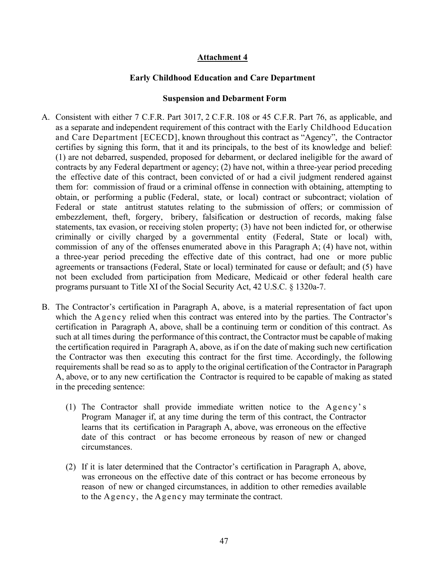#### **Attachment 4**

#### **Early Childhood Education and Care Department**

#### **Suspension and Debarment Form**

- A. Consistent with either 7 C.F.R. Part 3017, 2 C.F.R. 108 or 45 C.F.R. Part 76, as applicable, and as a separate and independent requirement of this contract with the Early Childhood Education and Care Department [ECECD], known throughout this contract as "Agency", the Contractor certifies by signing this form, that it and its principals, to the best of its knowledge and belief: (1) are not debarred, suspended, proposed for debarment, or declared ineligible for the award of contracts by any Federal department or agency; (2) have not, within a three-year period preceding the effective date of this contract, been convicted of or had a civil judgment rendered against them for: commission of fraud or a criminal offense in connection with obtaining, attempting to obtain, or performing a public (Federal, state, or local) contract or subcontract; violation of Federal or state antitrust statutes relating to the submission of offers; or commission of embezzlement, theft, forgery, bribery, falsification or destruction of records, making false statements, tax evasion, or receiving stolen property; (3) have not been indicted for, or otherwise criminally or civilly charged by a governmental entity (Federal, State or local) with, commission of any of the offenses enumerated above in this Paragraph A; (4) have not, within a three-year period preceding the effective date of this contract, had one or more public agreements or transactions (Federal, State or local) terminated for cause or default; and (5) have not been excluded from participation from Medicare, Medicaid or other federal health care programs pursuant to Title XI of the Social Security Act, 42 U.S.C. § 1320a-7.
- B. The Contractor's certification in Paragraph A, above, is a material representation of fact upon which the Agency relied when this contract was entered into by the parties. The Contractor's certification in Paragraph A, above, shall be a continuing term or condition of this contract. As such at all times during the performance of this contract, the Contractor must be capable of making the certification required in Paragraph A, above, as if on the date of making such new certification the Contractor was then executing this contract for the first time. Accordingly, the following requirements shall be read so as to apply to the original certification of the Contractor in Paragraph A, above, or to any new certification the Contractor is required to be capable of making as stated in the preceding sentence:
	- (1) The Contractor shall provide immediate written notice to the Agency' s Program Manager if, at any time during the term of this contract, the Contractor learns that its certification in Paragraph A, above, was erroneous on the effective date of this contract or has become erroneous by reason of new or changed circumstances.
	- (2) If it is later determined that the Contractor's certification in Paragraph A, above, was erroneous on the effective date of this contract or has become erroneous by reason of new or changed circumstances, in addition to other remedies available to the Agency, the Agency may terminate the contract.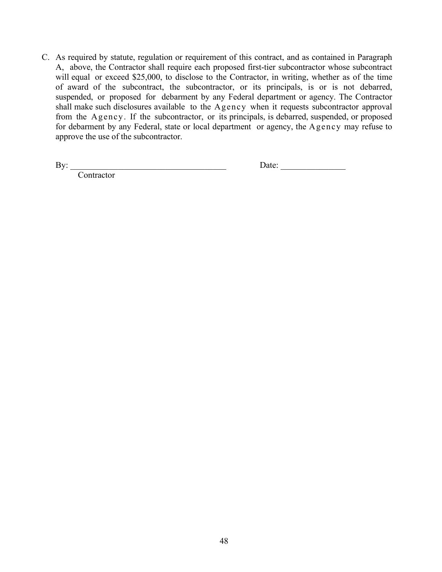C. As required by statute, regulation or requirement of this contract, and as contained in Paragraph A, above, the Contractor shall require each proposed first-tier subcontractor whose subcontract will equal or exceed \$25,000, to disclose to the Contractor, in writing, whether as of the time of award of the subcontract, the subcontractor, or its principals, is or is not debarred, suspended, or proposed for debarment by any Federal department or agency. The Contractor shall make such disclosures available to the Agency when it requests subcontractor approval from the Agency. If the subcontractor, or its principals, is debarred, suspended, or proposed for debarment by any Federal, state or local department or agency, the Agency may refuse to approve the use of the subcontractor.

**Contractor** 

By: \_\_\_\_\_\_\_\_\_\_\_\_\_\_\_\_\_\_\_\_\_\_\_\_\_\_\_\_\_\_\_\_\_\_\_\_ Date: \_\_\_\_\_\_\_\_\_\_\_\_\_\_\_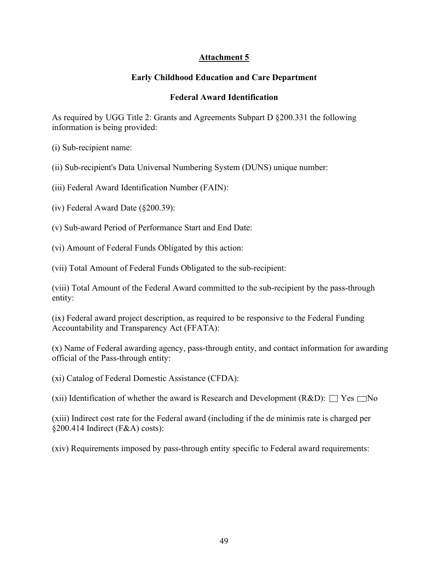#### **Attachment 5**

#### **Early Childhood Education and Care Department**

#### **Federal Award Identification**

As required by UGG Title 2: Grants and Agreements Subpart D §200.331 the following information is being provided:

(i) Sub-recipient name:

(ii) Sub-recipient's Data Universal Numbering System (DUNS) unique number:

(iii) Federal Award Identification Number (FAIN):

(iv) Federal Award Date (§200.39):

(v) Sub-award Period of Performance Start and End Date:

(vi) Amount of Federal Funds Obligated by this action:

(vii) Total Amount of Federal Funds Obligated to the sub-recipient:

(viii) Total Amount of the Federal Award committed to the sub-recipient by the pass-through entity:

(ix) Federal award project description, as required to be responsive to the Federal Funding Accountability and Transparency Act (FFATA):

(x) Name of Federal awarding agency, pass-through entity, and contact information for awarding official of the Pass-through entity:

(xi) Catalog of Federal Domestic Assistance (CFDA):

(xii) Identification of whether the award is Research and Development (R&D):  $\Box$  Yes  $\Box$  No

(xiii) Indirect cost rate for the Federal award (including if the de minimis rate is charged per §200.414 Indirect (F&A) costs):

(xiv) Requirements imposed by pass-through entity specific to Federal award requirements: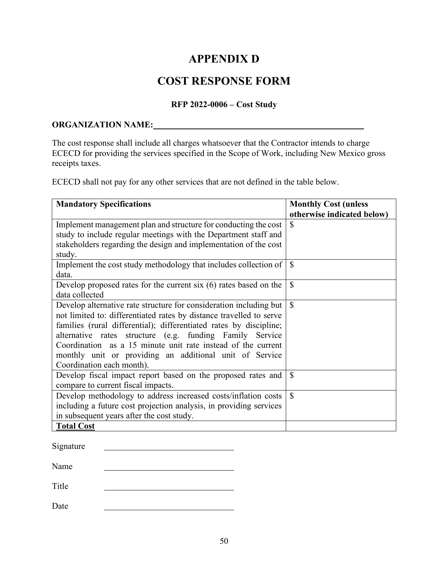# **APPENDIX D**

# **COST RESPONSE FORM**

#### **RFP 2022-0006 – Cost Study**

#### <span id="page-52-1"></span><span id="page-52-0"></span>**ORGANIZATION NAME:**

The cost response shall include all charges whatsoever that the Contractor intends to charge ECECD for providing the services specified in the Scope of Work, including New Mexico gross receipts taxes.

ECECD shall not pay for any other services that are not defined in the table below.

| <b>Mandatory Specifications</b>                                     | <b>Monthly Cost (unless</b> |
|---------------------------------------------------------------------|-----------------------------|
|                                                                     | otherwise indicated below)  |
| Implement management plan and structure for conducting the cost     | \$                          |
| study to include regular meetings with the Department staff and     |                             |
| stakeholders regarding the design and implementation of the cost    |                             |
| study.                                                              |                             |
| Implement the cost study methodology that includes collection of    | $\mathbf S$                 |
| data.                                                               |                             |
| Develop proposed rates for the current six $(6)$ rates based on the | $\mathcal{S}$               |
| data collected                                                      |                             |
| Develop alternative rate structure for consideration including but  | $\mathcal{S}$               |
| not limited to: differentiated rates by distance travelled to serve |                             |
| families (rural differential); differentiated rates by discipline;  |                             |
| alternative rates structure (e.g. funding Family Service            |                             |
| Coordination as a 15 minute unit rate instead of the current        |                             |
| monthly unit or providing an additional unit of Service             |                             |
| Coordination each month).                                           |                             |
| Develop fiscal impact report based on the proposed rates and        | $\mathcal{S}$               |
| compare to current fiscal impacts.                                  |                             |
| Develop methodology to address increased costs/inflation costs      | $\mathbb{S}$                |
| including a future cost projection analysis, in providing services  |                             |
| in subsequent years after the cost study.                           |                             |
| <b>Total Cost</b>                                                   |                             |

| Signature |  |  |
|-----------|--|--|
| Name      |  |  |
|           |  |  |

Title

Date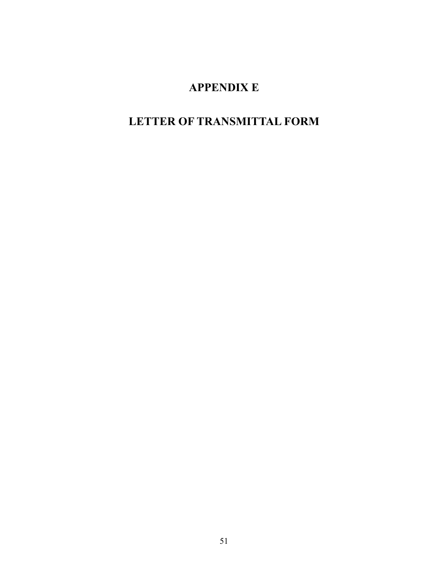# **APPENDIX E**

# <span id="page-53-1"></span><span id="page-53-0"></span>**LETTER OF TRANSMITTAL FORM**